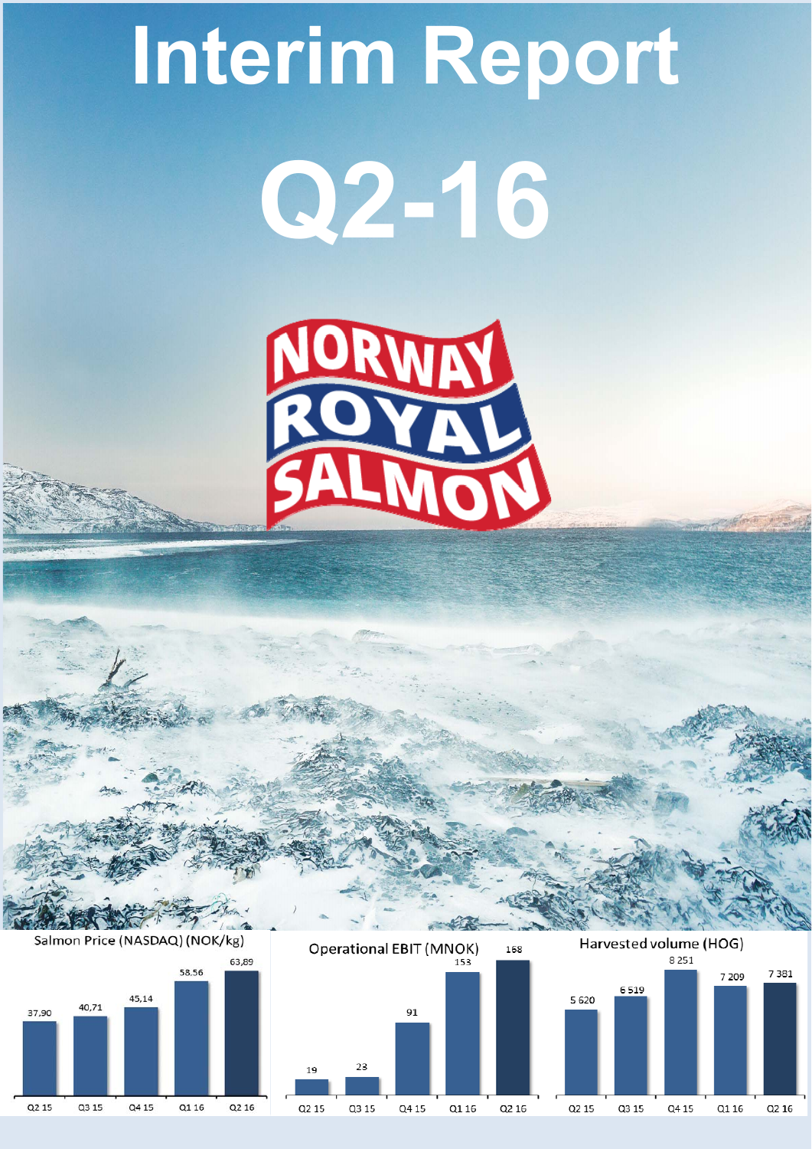

91

Q4 15

Q1 16

Q2 16

 $23$ 

Q3 15



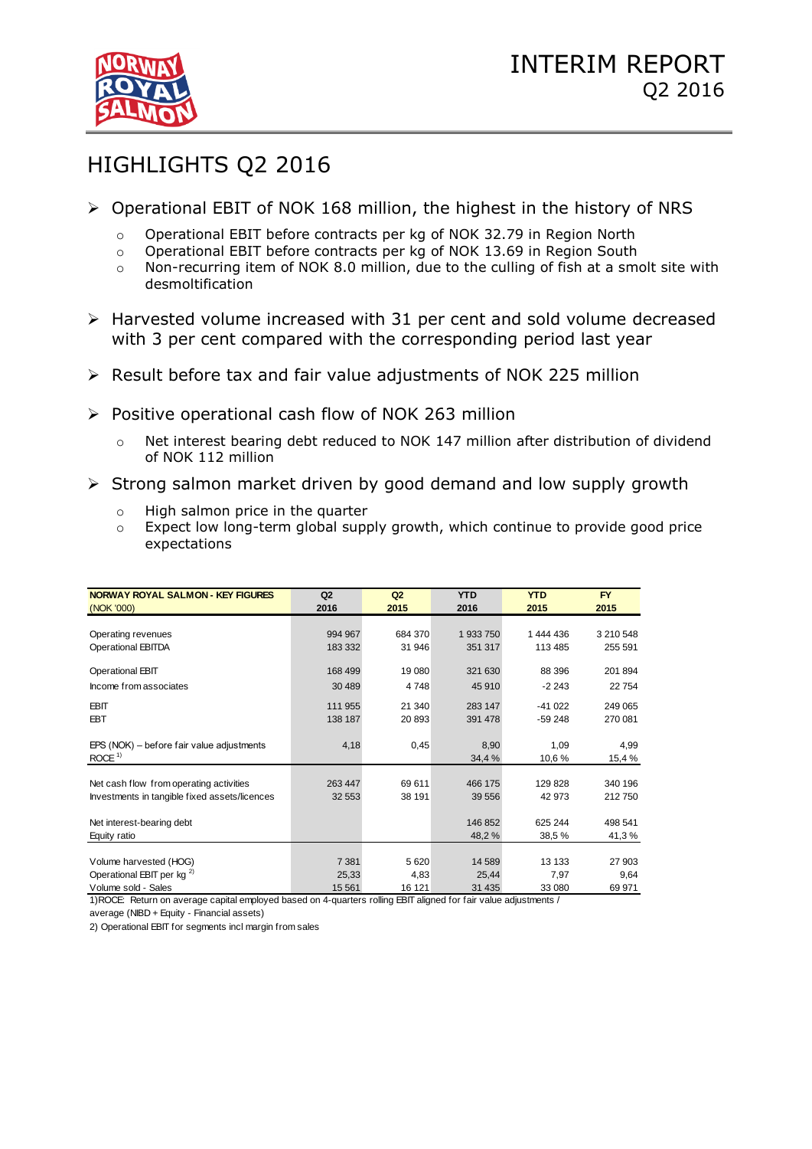

# HIGHLIGHTS Q2 2016

- $\triangleright$  Operational EBIT of NOK 168 million, the highest in the history of NRS
	- o Operational EBIT before contracts per kg of NOK 32.79 in Region North
	- o Operational EBIT before contracts per kg of NOK 13.69 in Region South
	- o Non-recurring item of NOK 8.0 million, due to the culling of fish at a smolt site with desmoltification
- Harvested volume increased with 31 per cent and sold volume decreased with 3 per cent compared with the corresponding period last year
- $\triangleright$  Result before tax and fair value adjustments of NOK 225 million
- $\triangleright$  Positive operational cash flow of NOK 263 million
	- o Net interest bearing debt reduced to NOK 147 million after distribution of dividend of NOK 112 million
- $\triangleright$  Strong salmon market driven by good demand and low supply growth
	- o High salmon price in the quarter
	- o Expect low long-term global supply growth, which continue to provide good price expectations

| <b>NORWAY ROYAL SALMON - KEY FIGURES</b>      | Q2      | Q2      | <b>YTD</b> | <b>YTD</b> | <b>FY</b> |
|-----------------------------------------------|---------|---------|------------|------------|-----------|
| (NOK '000)                                    | 2016    | 2015    | 2016       | 2015       | 2015      |
|                                               |         |         |            |            |           |
| Operating revenues                            | 994 967 | 684 370 | 1933750    | 1 444 436  | 3 210 548 |
| <b>Operational EBITDA</b>                     | 183 332 | 31 946  | 351 317    | 113 485    | 255 591   |
| Operational EBIT                              | 168 499 | 19 080  | 321 630    | 88 396     | 201 894   |
| Income from associates                        | 30 489  | 4 7 4 8 | 45 910     | $-2243$    | 22754     |
| <b>EBIT</b>                                   | 111 955 | 21 340  | 283 147    | $-41022$   | 249 065   |
| <b>EBT</b>                                    | 138 187 | 20 893  | 391 478    | $-59248$   | 270 081   |
|                                               |         |         |            |            |           |
| EPS (NOK) – before fair value adjustments     | 4,18    | 0,45    | 8,90       | 1,09       | 4,99      |
| ROCE $1$                                      |         |         | 34,4 %     | 10,6 %     | 15,4 %    |
| Net cash flow from operating activities       | 263 447 | 69 611  | 466 175    | 129828     | 340 196   |
| Investments in tangible fixed assets/licences | 32 553  | 38 191  | 39 556     | 42 973     | 212750    |
|                                               |         |         |            |            |           |
| Net interest-bearing debt                     |         |         | 146 852    | 625 244    | 498 541   |
| Equity ratio                                  |         |         | 48,2%      | 38,5 %     | 41,3 %    |
|                                               |         |         |            |            |           |
| Volume harvested (HOG)                        | 7 3 8 1 | 5 6 20  | 14 589     | 13 133     | 27 903    |
| Operational EBIT per kg <sup>2)</sup>         | 25,33   | 4,83    | 25,44      | 7,97       | 9,64      |
| Volume sold - Sales                           | 15 5 61 | 16 121  | 31 4 35    | 33 080     | 69 971    |

1)ROCE: Return on average capital employed based on 4-quarters rolling EBIT aligned for fair value adjustments /

average (NIBD + Equity - Financial assets)

2) Operational EBIT for segments incl margin from sales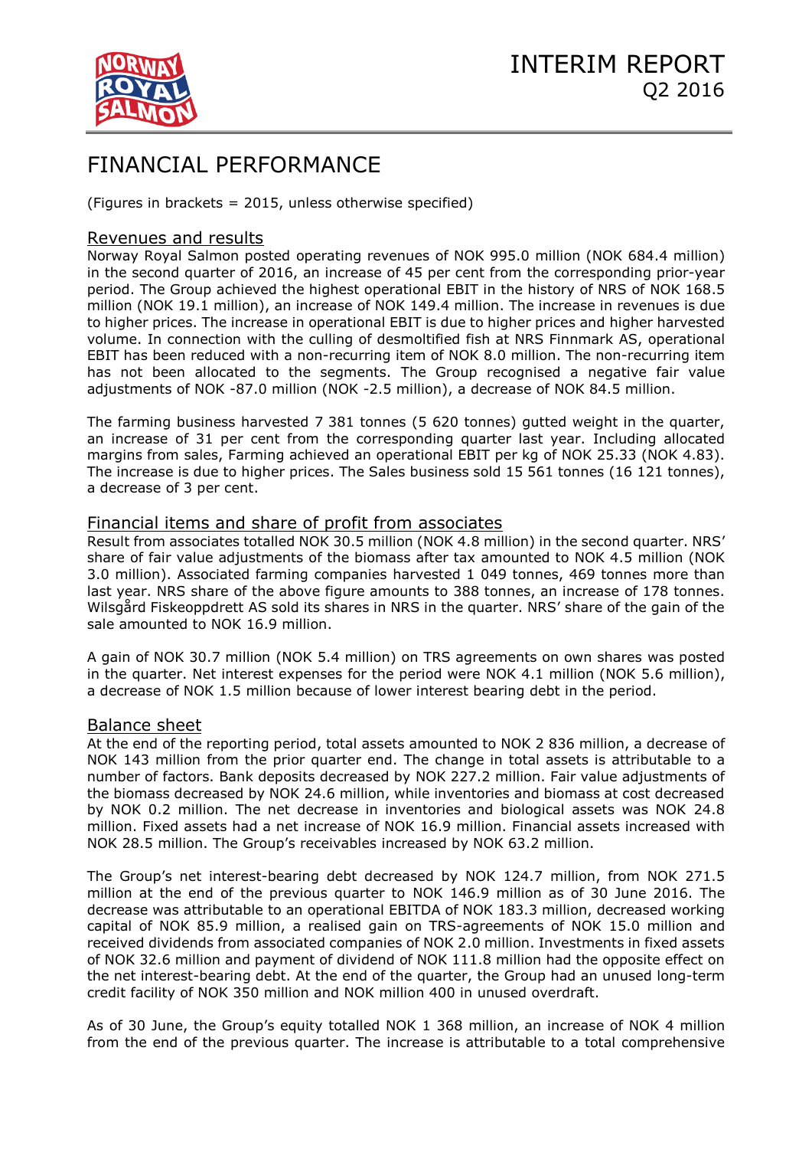

# FINANCIAL PERFORMANCE

(Figures in brackets = 2015, unless otherwise specified)

## Revenues and results

Norway Royal Salmon posted operating revenues of NOK 995.0 million (NOK 684.4 million) in the second quarter of 2016, an increase of 45 per cent from the corresponding prior-year period. The Group achieved the highest operational EBIT in the history of NRS of NOK 168.5 million (NOK 19.1 million), an increase of NOK 149.4 million. The increase in revenues is due to higher prices. The increase in operational EBIT is due to higher prices and higher harvested volume. In connection with the culling of desmoltified fish at NRS Finnmark AS, operational EBIT has been reduced with a non-recurring item of NOK 8.0 million. The non-recurring item has not been allocated to the segments. The Group recognised a negative fair value adjustments of NOK -87.0 million (NOK -2.5 million), a decrease of NOK 84.5 million.

The farming business harvested 7 381 tonnes (5 620 tonnes) gutted weight in the quarter, an increase of 31 per cent from the corresponding quarter last year. Including allocated margins from sales, Farming achieved an operational EBIT per kg of NOK 25.33 (NOK 4.83). The increase is due to higher prices. The Sales business sold 15 561 tonnes (16 121 tonnes), a decrease of 3 per cent.

## Financial items and share of profit from associates

Result from associates totalled NOK 30.5 million (NOK 4.8 million) in the second quarter. NRS' share of fair value adjustments of the biomass after tax amounted to NOK 4.5 million (NOK 3.0 million). Associated farming companies harvested 1 049 tonnes, 469 tonnes more than last year. NRS share of the above figure amounts to 388 tonnes, an increase of 178 tonnes. Wilsgård Fiskeoppdrett AS sold its shares in NRS in the quarter. NRS' share of the gain of the sale amounted to NOK 16.9 million.

A gain of NOK 30.7 million (NOK 5.4 million) on TRS agreements on own shares was posted in the quarter. Net interest expenses for the period were NOK 4.1 million (NOK 5.6 million), a decrease of NOK 1.5 million because of lower interest bearing debt in the period.

## Balance sheet

At the end of the reporting period, total assets amounted to NOK 2 836 million, a decrease of NOK 143 million from the prior quarter end. The change in total assets is attributable to a number of factors. Bank deposits decreased by NOK 227.2 million. Fair value adjustments of the biomass decreased by NOK 24.6 million, while inventories and biomass at cost decreased by NOK 0.2 million. The net decrease in inventories and biological assets was NOK 24.8 million. Fixed assets had a net increase of NOK 16.9 million. Financial assets increased with NOK 28.5 million. The Group's receivables increased by NOK 63.2 million.

The Group's net interest-bearing debt decreased by NOK 124.7 million, from NOK 271.5 million at the end of the previous quarter to NOK 146.9 million as of 30 June 2016. The decrease was attributable to an operational EBITDA of NOK 183.3 million, decreased working capital of NOK 85.9 million, a realised gain on TRS-agreements of NOK 15.0 million and received dividends from associated companies of NOK 2.0 million. Investments in fixed assets of NOK 32.6 million and payment of dividend of NOK 111.8 million had the opposite effect on the net interest-bearing debt. At the end of the quarter, the Group had an unused long-term credit facility of NOK 350 million and NOK million 400 in unused overdraft.

As of 30 June, the Group's equity totalled NOK 1 368 million, an increase of NOK 4 million from the end of the previous quarter. The increase is attributable to a total comprehensive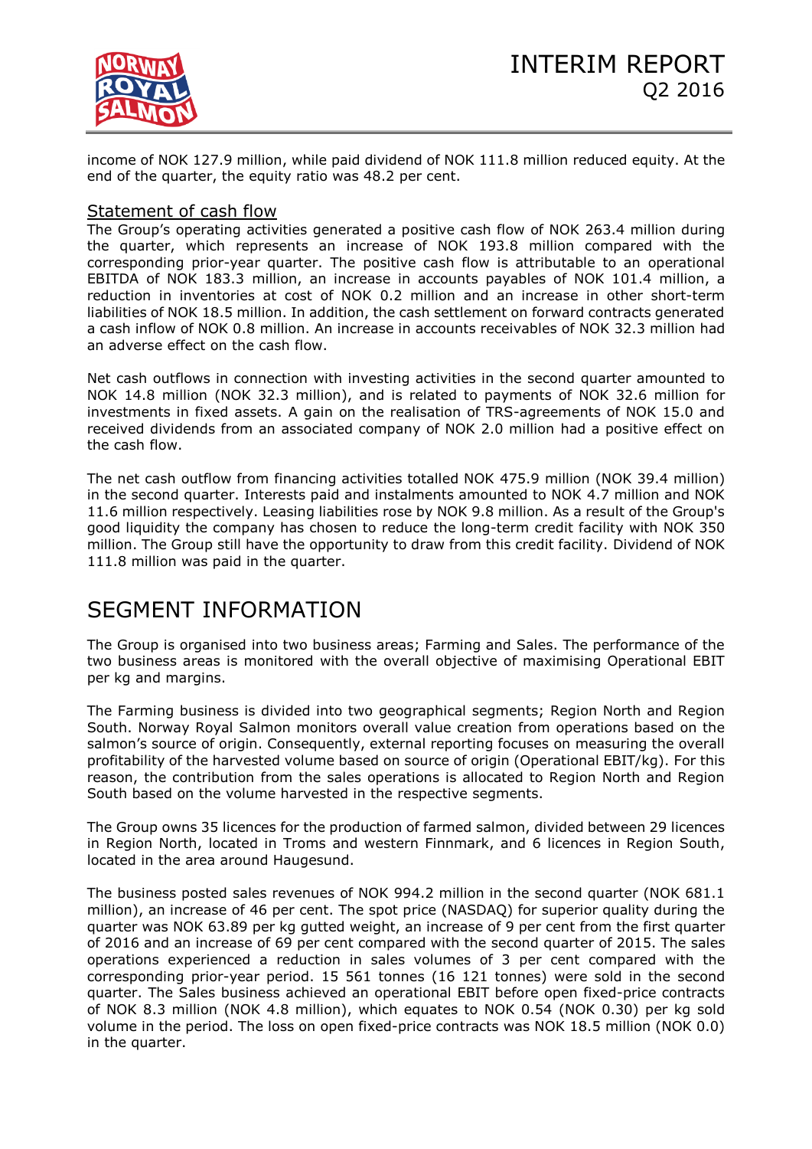

income of NOK 127.9 million, while paid dividend of NOK 111.8 million reduced equity. At the end of the quarter, the equity ratio was 48.2 per cent.

## Statement of cash flow

The Group's operating activities generated a positive cash flow of NOK 263.4 million during the quarter, which represents an increase of NOK 193.8 million compared with the corresponding prior-year quarter. The positive cash flow is attributable to an operational EBITDA of NOK 183.3 million, an increase in accounts payables of NOK 101.4 million, a reduction in inventories at cost of NOK 0.2 million and an increase in other short-term liabilities of NOK 18.5 million. In addition, the cash settlement on forward contracts generated a cash inflow of NOK 0.8 million. An increase in accounts receivables of NOK 32.3 million had an adverse effect on the cash flow.

Net cash outflows in connection with investing activities in the second quarter amounted to NOK 14.8 million (NOK 32.3 million), and is related to payments of NOK 32.6 million for investments in fixed assets. A gain on the realisation of TRS-agreements of NOK 15.0 and received dividends from an associated company of NOK 2.0 million had a positive effect on the cash flow.

The net cash outflow from financing activities totalled NOK 475.9 million (NOK 39.4 million) in the second quarter. Interests paid and instalments amounted to NOK 4.7 million and NOK 11.6 million respectively. Leasing liabilities rose by NOK 9.8 million. As a result of the Group's good liquidity the company has chosen to reduce the long-term credit facility with NOK 350 million. The Group still have the opportunity to draw from this credit facility. Dividend of NOK 111.8 million was paid in the quarter.

# SEGMENT INFORMATION

The Group is organised into two business areas; Farming and Sales. The performance of the two business areas is monitored with the overall objective of maximising Operational EBIT per kg and margins.

The Farming business is divided into two geographical segments; Region North and Region South. Norway Royal Salmon monitors overall value creation from operations based on the salmon's source of origin. Consequently, external reporting focuses on measuring the overall profitability of the harvested volume based on source of origin (Operational EBIT/kg). For this reason, the contribution from the sales operations is allocated to Region North and Region South based on the volume harvested in the respective segments.

The Group owns 35 licences for the production of farmed salmon, divided between 29 licences in Region North, located in Troms and western Finnmark, and 6 licences in Region South, located in the area around Haugesund.

The business posted sales revenues of NOK 994.2 million in the second quarter (NOK 681.1 million), an increase of 46 per cent. The spot price (NASDAQ) for superior quality during the quarter was NOK 63.89 per kg gutted weight, an increase of 9 per cent from the first quarter of 2016 and an increase of 69 per cent compared with the second quarter of 2015. The sales operations experienced a reduction in sales volumes of 3 per cent compared with the corresponding prior-year period. 15 561 tonnes (16 121 tonnes) were sold in the second quarter. The Sales business achieved an operational EBIT before open fixed-price contracts of NOK 8.3 million (NOK 4.8 million), which equates to NOK 0.54 (NOK 0.30) per kg sold volume in the period. The loss on open fixed-price contracts was NOK 18.5 million (NOK 0.0) in the quarter.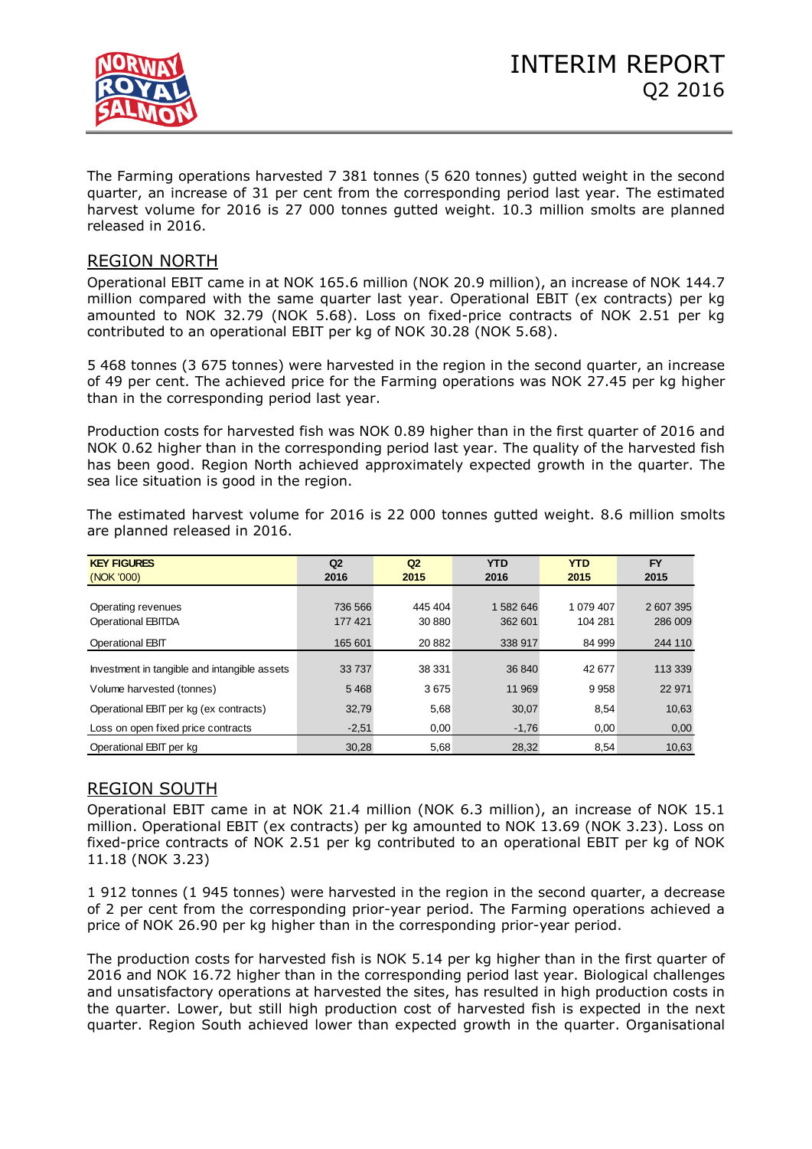

The Farming operations harvested 7 381 tonnes (5 620 tonnes) gutted weight in the second quarter, an increase of 31 per cent from the corresponding period last year. The estimated harvest volume for 2016 is 27 000 tonnes gutted weight. 10.3 million smolts are planned released in 2016.

# REGION NORTH

Operational EBIT came in at NOK 165.6 million (NOK 20.9 million), an increase of NOK 144.7 million compared with the same quarter last year. Operational EBIT (ex contracts) per kg amounted to NOK 32.79 (NOK 5.68). Loss on fixed-price contracts of NOK 2.51 per kg contributed to an operational EBIT per kg of NOK 30.28 (NOK 5.68).

5 468 tonnes (3 675 tonnes) were harvested in the region in the second quarter, an increase of 49 per cent. The achieved price for the Farming operations was NOK 27.45 per kg higher than in the corresponding period last year.

Production costs for harvested fish was NOK 0.89 higher than in the first quarter of 2016 and NOK 0.62 higher than in the corresponding period last year. The quality of the harvested fish has been good. Region North achieved approximately expected growth in the quarter. The sea lice situation is good in the region.

| <b>KEY FIGURES</b>                           | Q <sub>2</sub><br>Q <sub>2</sub> |         | <b>YTD</b> | <b>YTD</b> | <b>FY</b> |
|----------------------------------------------|----------------------------------|---------|------------|------------|-----------|
| (NOK '000)                                   | 2016                             | 2015    | 2016       | 2015       | 2015      |
|                                              |                                  |         |            |            |           |
| Operating revenues                           | 736 566                          | 445 404 | 1 582 646  | 1 079 407  | 2607395   |
| <b>Operational EBITDA</b>                    | 177 421                          | 30 880  | 362 601    | 104 281    | 286 009   |
| <b>Operational EBIT</b>                      | 165 601                          | 20 882  | 338 917    | 84 999     | 244 110   |
|                                              |                                  |         |            |            |           |
| Investment in tangible and intangible assets | 33737                            | 38 331  | 36 840     | 42 677     | 113 339   |
| Volume harvested (tonnes)                    | 5468                             | 3675    | 11 969     | 9958       | 22 971    |
| Operational EBIT per kg (ex contracts)       | 32,79                            | 5,68    | 30,07      | 8,54       | 10,63     |
| Loss on open fixed price contracts           | $-2,51$                          | 0,00    | $-1,76$    | 0,00       | 0,00      |
| Operational EBIT per kg                      | 30,28                            | 5,68    | 28,32      | 8,54       | 10,63     |

The estimated harvest volume for 2016 is 22 000 tonnes gutted weight. 8.6 million smolts are planned released in 2016.

# REGION SOUTH

Operational EBIT came in at NOK 21.4 million (NOK 6.3 million), an increase of NOK 15.1 million. Operational EBIT (ex contracts) per kg amounted to NOK 13.69 (NOK 3.23). Loss on fixed-price contracts of NOK 2.51 per kg contributed to an operational EBIT per kg of NOK 11.18 (NOK 3.23)

1 912 tonnes (1 945 tonnes) were harvested in the region in the second quarter, a decrease of 2 per cent from the corresponding prior-year period. The Farming operations achieved a price of NOK 26.90 per kg higher than in the corresponding prior-year period.

The production costs for harvested fish is NOK 5.14 per kg higher than in the first quarter of 2016 and NOK 16.72 higher than in the corresponding period last year. Biological challenges and unsatisfactory operations at harvested the sites, has resulted in high production costs in the quarter. Lower, but still high production cost of harvested fish is expected in the next quarter. Region South achieved lower than expected growth in the quarter. Organisational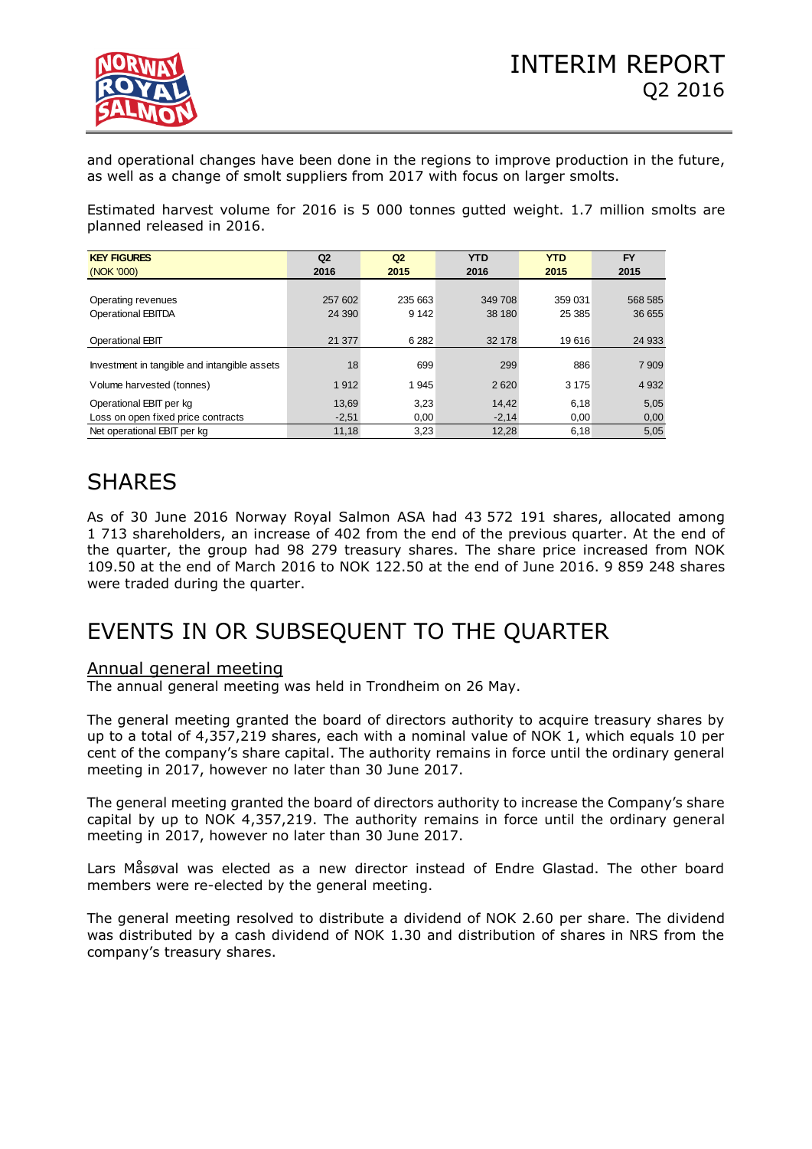

and operational changes have been done in the regions to improve production in the future, as well as a change of smolt suppliers from 2017 with focus on larger smolts.

Estimated harvest volume for 2016 is 5 000 tonnes gutted weight. 1.7 million smolts are planned released in 2016.

| <b>KEY FIGURES</b>                           | Q2<br>Q <sub>2</sub> |         | <b>YTD</b> | <b>YTD</b> | <b>FY</b> |  |
|----------------------------------------------|----------------------|---------|------------|------------|-----------|--|
| (NOK '000)                                   | 2016                 | 2015    | 2016       | 2015       | 2015      |  |
|                                              |                      |         |            |            |           |  |
| Operating revenues                           | 257 602              | 235 663 | 349 708    | 359 031    | 568 585   |  |
| Operational EBITDA                           | 24 3 9 0             | 9 1 4 2 | 38 180     | 25 385     | 36 655    |  |
|                                              |                      |         |            |            |           |  |
| <b>Operational EBIT</b>                      | 21 377               | 6 2 8 2 | 32 178     | 19616      | 24 933    |  |
|                                              |                      |         |            |            |           |  |
| Investment in tangible and intangible assets | 18                   | 699     | 299        | 886        | 7 9 0 9   |  |
| Volume harvested (tonnes)                    | 1912                 | 1945    | 2620       | 3 1 7 5    | 4 9 3 2   |  |
| Operational EBIT per kg                      | 13,69                | 3,23    | 14,42      | 6,18       | 5,05      |  |
| Loss on open fixed price contracts           | $-2,51$              | 0,00    | $-2,14$    | 0,00       | 0,00      |  |
| Net operational EBIT per kg                  | 11,18                | 3,23    | 12,28      | 6,18       | 5,05      |  |

# SHARES

As of 30 June 2016 Norway Royal Salmon ASA had 43 572 191 shares, allocated among 1 713 shareholders, an increase of 402 from the end of the previous quarter. At the end of the quarter, the group had 98 279 treasury shares. The share price increased from NOK 109.50 at the end of March 2016 to NOK 122.50 at the end of June 2016. 9 859 248 shares were traded during the quarter.

# EVENTS IN OR SUBSEQUENT TO THE QUARTER

# Annual general meeting

The annual general meeting was held in Trondheim on 26 May.

The general meeting granted the board of directors authority to acquire treasury shares by up to a total of 4,357,219 shares, each with a nominal value of NOK 1, which equals 10 per cent of the company's share capital. The authority remains in force until the ordinary general meeting in 2017, however no later than 30 June 2017.

The general meeting granted the board of directors authority to increase the Company's share capital by up to NOK 4,357,219. The authority remains in force until the ordinary general meeting in 2017, however no later than 30 June 2017.

Lars Måsøval was elected as a new director instead of Endre Glastad. The other board members were re-elected by the general meeting.

The general meeting resolved to distribute a dividend of NOK 2.60 per share. The dividend was distributed by a cash dividend of NOK 1.30 and distribution of shares in NRS from the company's treasury shares.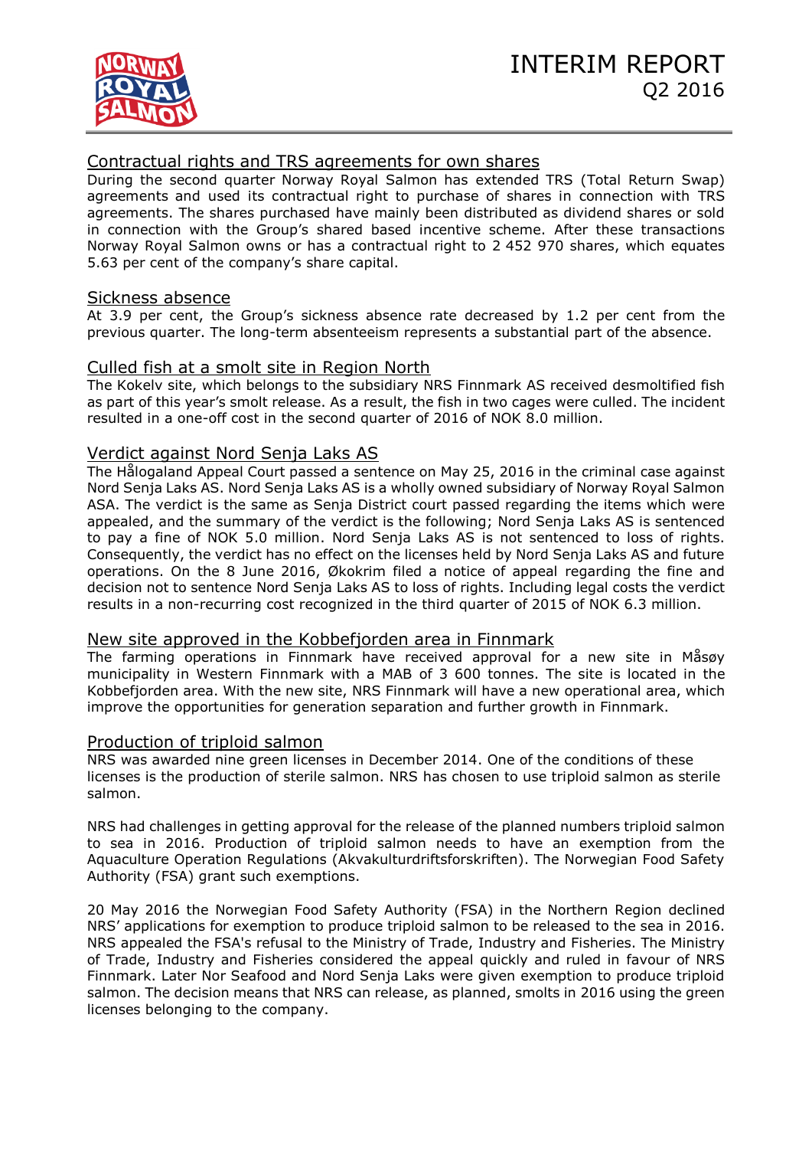# Contractual rights and TRS agreements for own shares

During the second quarter Norway Royal Salmon has extended TRS (Total Return Swap) agreements and used its contractual right to purchase of shares in connection with TRS agreements. The shares purchased have mainly been distributed as dividend shares or sold in connection with the Group's shared based incentive scheme. After these transactions Norway Royal Salmon owns or has a contractual right to 2 452 970 shares, which equates 5.63 per cent of the company's share capital.

## Sickness absence

At 3.9 per cent, the Group's sickness absence rate decreased by 1.2 per cent from the previous quarter. The long-term absenteeism represents a substantial part of the absence.

## Culled fish at a smolt site in Region North

The Kokelv site, which belongs to the subsidiary NRS Finnmark AS received desmoltified fish as part of this year's smolt release. As a result, the fish in two cages were culled. The incident resulted in a one-off cost in the second quarter of 2016 of NOK 8.0 million.

# Verdict against Nord Senja Laks AS

The Hålogaland Appeal Court passed a sentence on May 25, 2016 in the criminal case against Nord Senja Laks AS. Nord Senja Laks AS is a wholly owned subsidiary of Norway Royal Salmon ASA. The verdict is the same as Senja District court passed regarding the items which were appealed, and the summary of the verdict is the following; Nord Senja Laks AS is sentenced to pay a fine of NOK 5.0 million. Nord Senja Laks AS is not sentenced to loss of rights. Consequently, the verdict has no effect on the licenses held by Nord Senja Laks AS and future operations. On the 8 June 2016, Økokrim filed a notice of appeal regarding the fine and decision not to sentence Nord Senja Laks AS to loss of rights. Including legal costs the verdict results in a non-recurring cost recognized in the third quarter of 2015 of NOK 6.3 million.

## New site approved in the Kobbefjorden area in Finnmark

The farming operations in Finnmark have received approval for a new site in Måsøy municipality in Western Finnmark with a MAB of 3 600 tonnes. The site is located in the Kobbefjorden area. With the new site, NRS Finnmark will have a new operational area, which improve the opportunities for generation separation and further growth in Finnmark.

## Production of triploid salmon

NRS was awarded nine green licenses in December 2014. One of the conditions of these licenses is the production of sterile salmon. NRS has chosen to use triploid salmon as sterile salmon.

NRS had challenges in getting approval for the release of the planned numbers triploid salmon to sea in 2016. Production of triploid salmon needs to have an exemption from the Aquaculture Operation Regulations (Akvakulturdriftsforskriften). The Norwegian Food Safety Authority (FSA) grant such exemptions.

20 May 2016 the Norwegian Food Safety Authority (FSA) in the Northern Region declined NRS' applications for exemption to produce triploid salmon to be released to the sea in 2016. NRS appealed the FSA's refusal to the Ministry of Trade, Industry and Fisheries. The Ministry of Trade, Industry and Fisheries considered the appeal quickly and ruled in favour of NRS Finnmark. Later Nor Seafood and Nord Senja Laks were given exemption to produce triploid salmon. The decision means that NRS can release, as planned, smolts in 2016 using the green licenses belonging to the company.

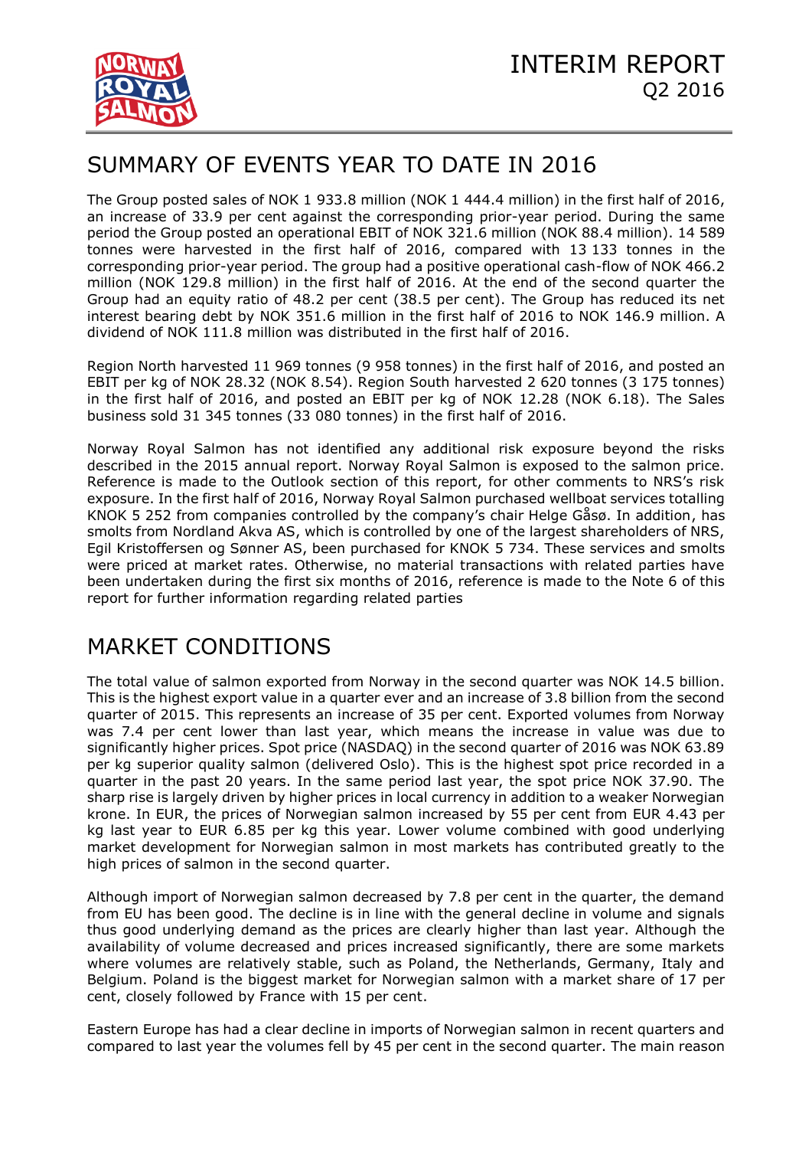

# SUMMARY OF EVENTS YEAR TO DATE IN 2016

The Group posted sales of NOK 1 933.8 million (NOK 1 444.4 million) in the first half of 2016, an increase of 33.9 per cent against the corresponding prior-year period. During the same period the Group posted an operational EBIT of NOK 321.6 million (NOK 88.4 million). 14 589 tonnes were harvested in the first half of 2016, compared with 13 133 tonnes in the corresponding prior-year period. The group had a positive operational cash-flow of NOK 466.2 million (NOK 129.8 million) in the first half of 2016. At the end of the second quarter the Group had an equity ratio of 48.2 per cent (38.5 per cent). The Group has reduced its net interest bearing debt by NOK 351.6 million in the first half of 2016 to NOK 146.9 million. A dividend of NOK 111.8 million was distributed in the first half of 2016.

Region North harvested 11 969 tonnes (9 958 tonnes) in the first half of 2016, and posted an EBIT per kg of NOK 28.32 (NOK 8.54). Region South harvested 2 620 tonnes (3 175 tonnes) in the first half of 2016, and posted an EBIT per kg of NOK 12.28 (NOK 6.18). The Sales business sold 31 345 tonnes (33 080 tonnes) in the first half of 2016.

Norway Royal Salmon has not identified any additional risk exposure beyond the risks described in the 2015 annual report. Norway Royal Salmon is exposed to the salmon price. Reference is made to the Outlook section of this report, for other comments to NRS's risk exposure. In the first half of 2016, Norway Royal Salmon purchased wellboat services totalling KNOK 5 252 from companies controlled by the company's chair Helge Gåsø. In addition, has smolts from Nordland Akva AS, which is controlled by one of the largest shareholders of NRS, Egil Kristoffersen og Sønner AS, been purchased for KNOK 5 734. These services and smolts were priced at market rates. Otherwise, no material transactions with related parties have been undertaken during the first six months of 2016, reference is made to the Note 6 of this report for further information regarding related parties

# MARKET CONDITIONS

The total value of salmon exported from Norway in the second quarter was NOK 14.5 billion. This is the highest export value in a quarter ever and an increase of 3.8 billion from the second quarter of 2015. This represents an increase of 35 per cent. Exported volumes from Norway was 7.4 per cent lower than last year, which means the increase in value was due to significantly higher prices. Spot price (NASDAQ) in the second quarter of 2016 was NOK 63.89 per kg superior quality salmon (delivered Oslo). This is the highest spot price recorded in a quarter in the past 20 years. In the same period last year, the spot price NOK 37.90. The sharp rise is largely driven by higher prices in local currency in addition to a weaker Norwegian krone. In EUR, the prices of Norwegian salmon increased by 55 per cent from EUR 4.43 per kg last year to EUR 6.85 per kg this year. Lower volume combined with good underlying market development for Norwegian salmon in most markets has contributed greatly to the high prices of salmon in the second quarter.

Although import of Norwegian salmon decreased by 7.8 per cent in the quarter, the demand from EU has been good. The decline is in line with the general decline in volume and signals thus good underlying demand as the prices are clearly higher than last year. Although the availability of volume decreased and prices increased significantly, there are some markets where volumes are relatively stable, such as Poland, the Netherlands, Germany, Italy and Belgium. Poland is the biggest market for Norwegian salmon with a market share of 17 per cent, closely followed by France with 15 per cent.

Eastern Europe has had a clear decline in imports of Norwegian salmon in recent quarters and compared to last year the volumes fell by 45 per cent in the second quarter. The main reason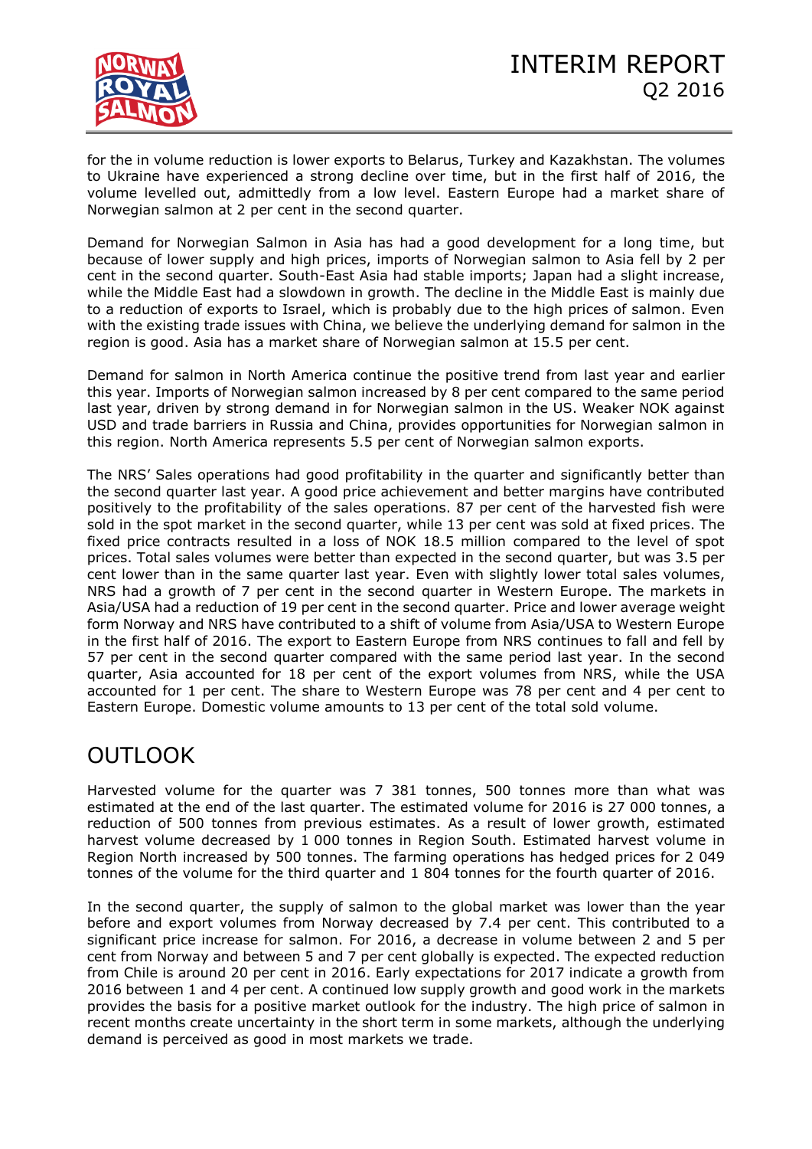

for the in volume reduction is lower exports to Belarus, Turkey and Kazakhstan. The volumes to Ukraine have experienced a strong decline over time, but in the first half of 2016, the volume levelled out, admittedly from a low level. Eastern Europe had a market share of Norwegian salmon at 2 per cent in the second quarter.

Demand for Norwegian Salmon in Asia has had a good development for a long time, but because of lower supply and high prices, imports of Norwegian salmon to Asia fell by 2 per cent in the second quarter. South-East Asia had stable imports; Japan had a slight increase, while the Middle East had a slowdown in growth. The decline in the Middle East is mainly due to a reduction of exports to Israel, which is probably due to the high prices of salmon. Even with the existing trade issues with China, we believe the underlying demand for salmon in the region is good. Asia has a market share of Norwegian salmon at 15.5 per cent.

Demand for salmon in North America continue the positive trend from last year and earlier this year. Imports of Norwegian salmon increased by 8 per cent compared to the same period last year, driven by strong demand in for Norwegian salmon in the US. Weaker NOK against USD and trade barriers in Russia and China, provides opportunities for Norwegian salmon in this region. North America represents 5.5 per cent of Norwegian salmon exports.

The NRS' Sales operations had good profitability in the quarter and significantly better than the second quarter last year. A good price achievement and better margins have contributed positively to the profitability of the sales operations. 87 per cent of the harvested fish were sold in the spot market in the second quarter, while 13 per cent was sold at fixed prices. The fixed price contracts resulted in a loss of NOK 18.5 million compared to the level of spot prices. Total sales volumes were better than expected in the second quarter, but was 3.5 per cent lower than in the same quarter last year. Even with slightly lower total sales volumes, NRS had a growth of 7 per cent in the second quarter in Western Europe. The markets in Asia/USA had a reduction of 19 per cent in the second quarter. Price and lower average weight form Norway and NRS have contributed to a shift of volume from Asia/USA to Western Europe in the first half of 2016. The export to Eastern Europe from NRS continues to fall and fell by 57 per cent in the second quarter compared with the same period last year. In the second quarter, Asia accounted for 18 per cent of the export volumes from NRS, while the USA accounted for 1 per cent. The share to Western Europe was 78 per cent and 4 per cent to Eastern Europe. Domestic volume amounts to 13 per cent of the total sold volume.

# OUTLOOK

Harvested volume for the quarter was 7 381 tonnes, 500 tonnes more than what was estimated at the end of the last quarter. The estimated volume for 2016 is 27 000 tonnes, a reduction of 500 tonnes from previous estimates. As a result of lower growth, estimated harvest volume decreased by 1 000 tonnes in Region South. Estimated harvest volume in Region North increased by 500 tonnes. The farming operations has hedged prices for 2 049 tonnes of the volume for the third quarter and 1 804 tonnes for the fourth quarter of 2016.

In the second quarter, the supply of salmon to the global market was lower than the year before and export volumes from Norway decreased by 7.4 per cent. This contributed to a significant price increase for salmon. For 2016, a decrease in volume between 2 and 5 per cent from Norway and between 5 and 7 per cent globally is expected. The expected reduction from Chile is around 20 per cent in 2016. Early expectations for 2017 indicate a growth from 2016 between 1 and 4 per cent. A continued low supply growth and good work in the markets provides the basis for a positive market outlook for the industry. The high price of salmon in recent months create uncertainty in the short term in some markets, although the underlying demand is perceived as good in most markets we trade.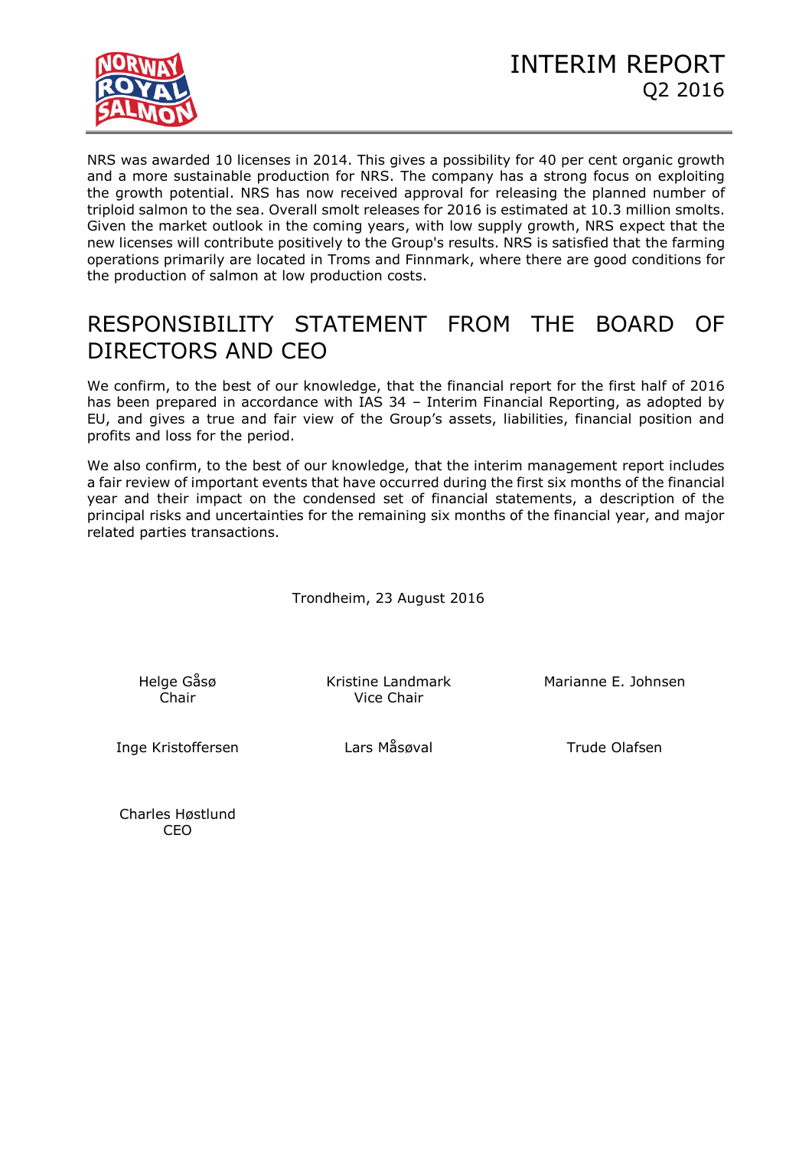

NRS was awarded 10 licenses in 2014. This gives a possibility for 40 per cent organic growth and a more sustainable production for NRS. The company has a strong focus on exploiting the growth potential. NRS has now received approval for releasing the planned number of triploid salmon to the sea. Overall smolt releases for 2016 is estimated at 10.3 million smolts. Given the market outlook in the coming years, with low supply growth, NRS expect that the new licenses will contribute positively to the Group's results. NRS is satisfied that the farming operations primarily are located in Troms and Finnmark, where there are good conditions for the production of salmon at low production costs.

# RESPONSIBILITY STATEMENT FROM THE BOARD OF DIRECTORS AND CEO

We confirm, to the best of our knowledge, that the financial report for the first half of 2016 has been prepared in accordance with IAS 34 – Interim Financial Reporting, as adopted by EU, and gives a true and fair view of the Group's assets, liabilities, financial position and profits and loss for the period.

We also confirm, to the best of our knowledge, that the interim management report includes a fair review of important events that have occurred during the first six months of the financial year and their impact on the condensed set of financial statements, a description of the principal risks and uncertainties for the remaining six months of the financial year, and major related parties transactions.

Trondheim, 23 August 2016

Helge Gåsø

Chair Vice Chair

Kristine Landmark Marianne E. Johnsen

Inge Kristoffersen and Lars Måsøval and Trude Olafsen

Charles Høstlund CEO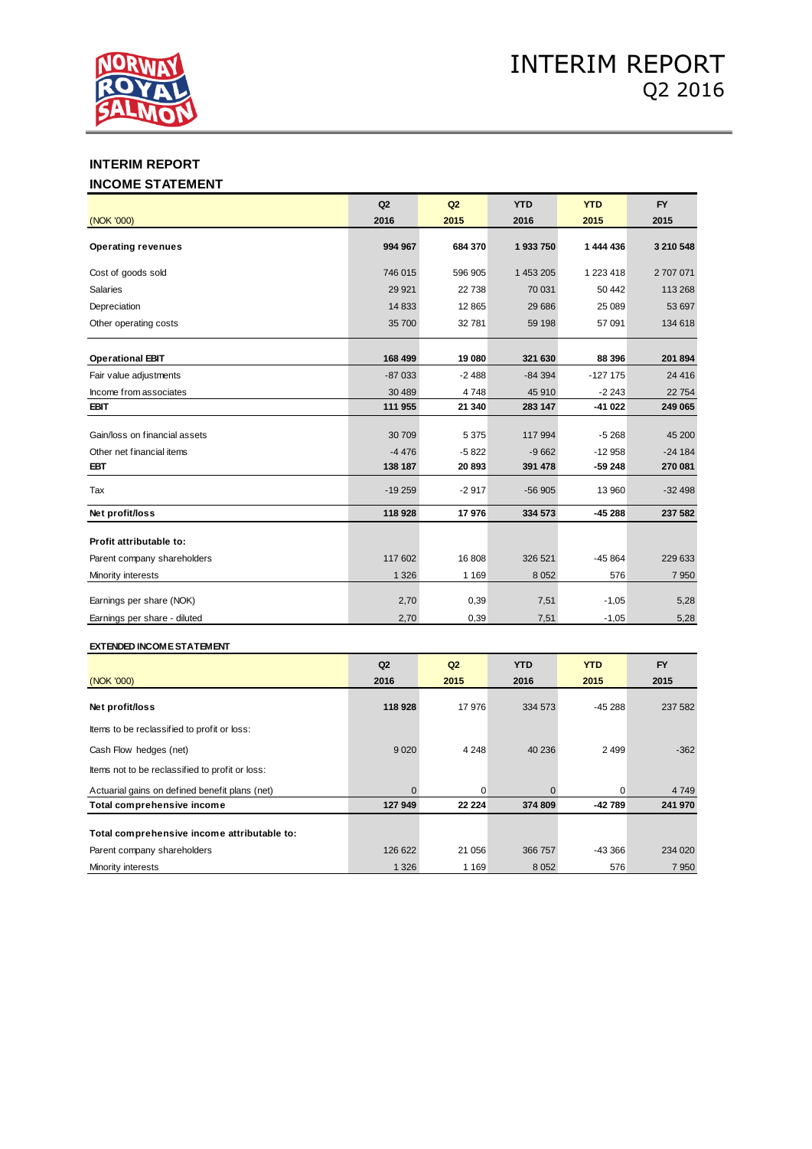

# **INTERIM REPORT**

### **INCOME STATEMENT**

|                               | Q2       | Q2      | <b>YTD</b> | <b>YTD</b> | <b>FY</b> |
|-------------------------------|----------|---------|------------|------------|-----------|
| (NOK '000)                    | 2016     | 2015    | 2016       | 2015       | 2015      |
| <b>Operating revenues</b>     | 994 967  | 684 370 | 1933750    | 1 444 436  | 3 210 548 |
| Cost of goods sold            | 746 015  | 596 905 | 1 453 205  | 1 223 418  | 2707071   |
| <b>Salaries</b>               | 29 9 21  | 22738   | 70 031     | 50 442     | 113 268   |
| Depreciation                  | 14 8 33  | 12865   | 29 68 6    | 25 089     | 53 697    |
| Other operating costs         | 35 700   | 32781   | 59 198     | 57 091     | 134 618   |
| <b>Operational EBIT</b>       | 168 499  | 19 080  | 321 630    | 88 396     | 201 894   |
| Fair value adjustments        | $-87033$ | $-2488$ | $-84394$   | $-127175$  | 24 4 16   |
| Income from associates        | 30 489   | 4748    | 45 910     | $-2243$    | 22754     |
| <b>EBIT</b>                   | 111 955  | 21 340  | 283 147    | -41 022    | 249 065   |
| Gain/loss on financial assets | 30 709   | 5 3 7 5 | 117 994    | $-5268$    | 45 200    |
| Other net financial items     | $-4476$  | $-5822$ | $-9662$    | $-12958$   | $-24184$  |
| <b>EBT</b>                    | 138 187  | 20893   | 391 478    | -59 248    | 270 081   |
| Tax                           | $-19259$ | $-2917$ | $-56905$   | 13 960     | $-32498$  |
| Net profit/loss               | 118 928  | 17976   | 334 573    | $-45288$   | 237 582   |
| Profit attributable to:       |          |         |            |            |           |
| Parent company shareholders   | 117 602  | 16808   | 326 521    | $-45864$   | 229 633   |
| Minority interests            | 1 3 2 6  | 1 1 6 9 | 8 0 5 2    | 576        | 7 9 5 0   |
| Earnings per share (NOK)      | 2,70     | 0,39    | 7,51       | $-1,05$    | 5,28      |
| Earnings per share - diluted  | 2,70     | 0,39    | 7,51       | $-1,05$    | 5,28      |

### **EXTENDED INCOME STATEMENT**

|                                                 | Q2       | Q2       | <b>YTD</b> | <b>YTD</b> | <b>FY</b> |
|-------------------------------------------------|----------|----------|------------|------------|-----------|
| (NOK '000)                                      | 2016     | 2015     | 2016       | 2015       | 2015      |
| Net profit/loss                                 | 118 928  | 17976    | 334 573    | $-45288$   | 237 582   |
| Items to be reclassified to profit or loss:     |          |          |            |            |           |
| Cash Flow hedges (net)                          | 9 0 2 0  | 4 2 4 8  | 40 236     | 2 4 9 9    | $-362$    |
| Items not to be reclassified to profit or loss: |          |          |            |            |           |
| Actuarial gains on defined benefit plans (net)  | $\Omega$ | 0        |            | 0          | 4 7 4 9   |
| Total comprehensive income                      | 127 949  | 22 2 2 4 | 374 809    | -42 789    | 241 970   |
| Total comprehensive income attributable to:     |          |          |            |            |           |
| Parent company shareholders                     | 126 622  | 21 056   | 366 757    | -43 366    | 234 020   |
| Minority interests                              | 1 3 2 6  | 1 1 6 9  | 8 0 5 2    | 576        | 7950      |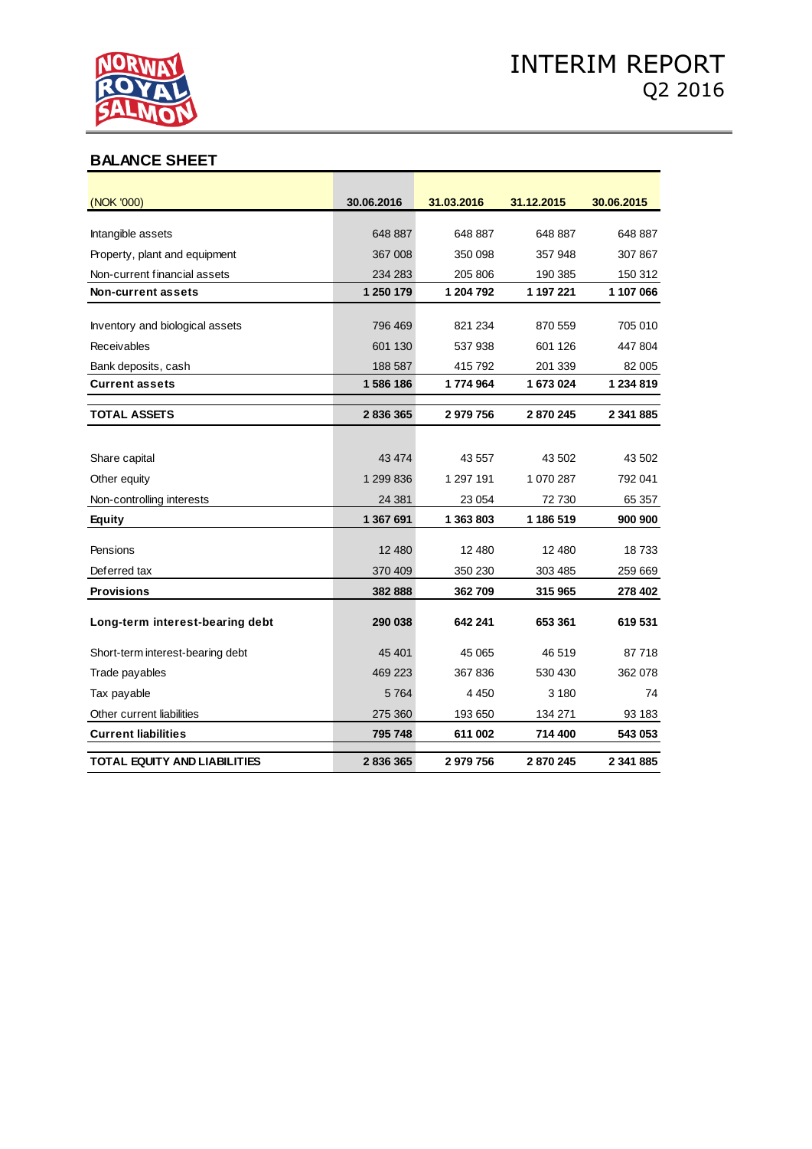

# **BALANCE SHEET**

| (NOK '000)                          | 30.06.2016 | 31.03.2016 | 31.12.2015 | 30.06.2015 |
|-------------------------------------|------------|------------|------------|------------|
|                                     |            |            |            |            |
| Intangible assets                   | 648 887    | 648 887    | 648 887    | 648 887    |
| Property, plant and equipment       | 367 008    | 350 098    | 357 948    | 307867     |
| Non-current financial assets        | 234 283    | 205 806    | 190 385    | 150 312    |
| <b>Non-current assets</b>           | 1 250 179  | 1 204 792  | 1 197 221  | 1 107 066  |
| Inventory and biological assets     | 796 469    | 821 234    | 870 559    | 705 010    |
| Receivables                         | 601 130    | 537938     | 601 126    | 447804     |
| Bank deposits, cash                 | 188 587    | 415 792    | 201 339    | 82 005     |
| <b>Current assets</b>               | 1586186    | 1774964    | 1 673 024  | 1 234 819  |
| <b>TOTAL ASSETS</b>                 | 2836365    | 2979756    | 2870245    | 2 341 885  |
|                                     |            |            |            |            |
| Share capital                       | 43 4 74    | 43 557     | 43 502     | 43 502     |
| Other equity                        | 1 299 836  | 1 297 191  | 1 070 287  | 792 041    |
| Non-controlling interests           | 24 381     | 23 0 54    | 72 730     | 65 357     |
| <b>Equity</b>                       | 1 367 691  | 1 363 803  | 1 186 519  | 900 900    |
| Pensions                            | 12 480     | 12 480     | 12 480     | 18733      |
| Deferred tax                        | 370 409    | 350 230    | 303 485    | 259 669    |
| <b>Provisions</b>                   | 382888     | 362709     | 315 965    | 278 402    |
|                                     |            |            |            |            |
| Long-term interest-bearing debt     | 290 038    | 642 241    | 653 361    | 619531     |
| Short-term interest-bearing debt    | 45 401     | 45 065     | 46 519     | 87718      |
| Trade payables                      | 469 223    | 367836     | 530 430    | 362 078    |
| Tax payable                         | 5764       | 4 4 5 0    | 3 1 8 0    | 74         |
| Other current liabilities           | 275 360    | 193 650    | 134 271    | 93 183     |
| <b>Current liabilities</b>          | 795 748    | 611 002    | 714 400    | 543 053    |
| <b>TOTAL EQUITY AND LIABILITIES</b> | 2836365    | 2979756    | 2870245    | 2 341 885  |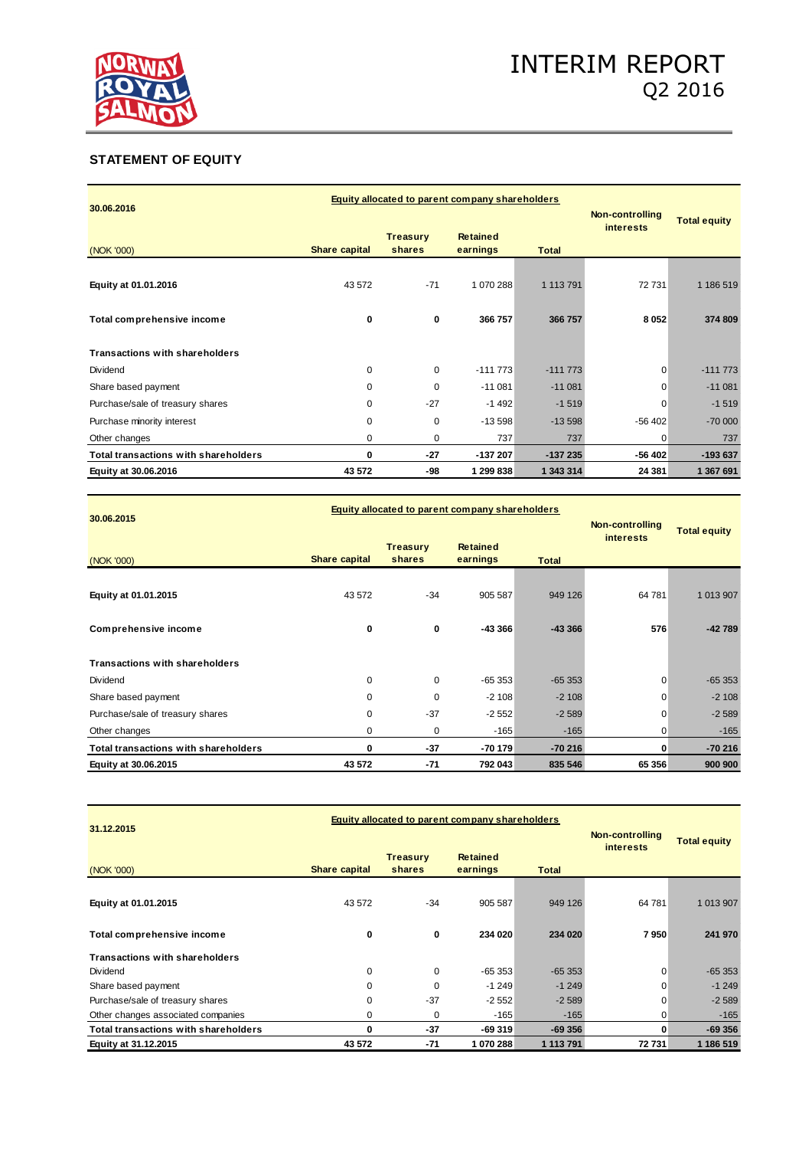

# **STATEMENT OF EQUITY**

| 30.06.2016                                  |                      | Equity allocated to parent company shareholders |                                             |                                     |                     |           |  |
|---------------------------------------------|----------------------|-------------------------------------------------|---------------------------------------------|-------------------------------------|---------------------|-----------|--|
|                                             |                      |                                                 |                                             | Non-controlling<br><b>interests</b> | <b>Total equity</b> |           |  |
| (NOK '000)                                  | <b>Share capital</b> | <b>Treasury</b><br>shares                       | <b>Retained</b><br>earnings<br><b>Total</b> |                                     |                     |           |  |
| Equity at 01.01.2016                        | 43 572               | $-71$                                           | 1 070 288                                   | 1 113 791                           | 72 731              | 1 186 519 |  |
| Total comprehensive income                  | 0                    | 0                                               | 366 757                                     | 366 757                             | 8052                | 374 809   |  |
| <b>Transactions with shareholders</b>       |                      |                                                 |                                             |                                     |                     |           |  |
| Dividend                                    | $\mathbf 0$          | 0                                               | $-111773$                                   | $-111773$                           | 0                   | $-111773$ |  |
| Share based payment                         | $\mathbf 0$          | $\Omega$                                        | $-11081$                                    | $-11081$                            | $\Omega$            | $-11081$  |  |
| Purchase/sale of treasury shares            | $\mathbf 0$          | $-27$                                           | $-1492$                                     | $-1519$                             | $\Omega$            | $-1519$   |  |
| Purchase minority interest                  | $\mathbf 0$          | 0                                               | $-13598$                                    | $-13598$                            | $-56402$            | $-70000$  |  |
| Other changes                               | 0                    | 0                                               | 737                                         | 737                                 | 0                   | 737       |  |
| <b>Total transactions with shareholders</b> | 0                    | $-27$                                           | $-137207$                                   | $-137235$                           | $-56402$            | $-193637$ |  |
| Equity at 30.06.2016                        | 43 572               | -98                                             | 1 299 838                                   | 1 343 314                           | 24 381              | 1 367 691 |  |

|                                       |                      | Equity allocated to parent company shareholders          |          |                 |                     |           |  |
|---------------------------------------|----------------------|----------------------------------------------------------|----------|-----------------|---------------------|-----------|--|
| 30.06.2015                            |                      |                                                          |          | Non-controlling | <b>Total equity</b> |           |  |
| (NOK '000)                            | <b>Share capital</b> | <b>Treasury</b><br><b>Retained</b><br>earnings<br>shares |          | <b>Total</b>    | <i>interests</i>    |           |  |
|                                       |                      |                                                          |          |                 |                     |           |  |
| Equity at 01.01.2015                  | 43 572               | $-34$                                                    | 905 587  | 949 126         | 64 781              | 1 013 907 |  |
|                                       |                      |                                                          |          |                 |                     |           |  |
| <b>Comprehensive income</b>           | 0                    | 0                                                        | -43 366  | $-43366$        | 576                 | $-42789$  |  |
|                                       |                      |                                                          |          |                 |                     |           |  |
| <b>Transactions with shareholders</b> |                      |                                                          |          |                 |                     |           |  |
| Dividend                              | $\mathbf 0$          | 0                                                        | $-65353$ | $-65353$        | $\mathbf 0$         | $-65353$  |  |
| Share based payment                   | $\mathbf 0$          | $\Omega$                                                 | $-2108$  | $-2108$         | 0                   | $-2108$   |  |
| Purchase/sale of treasury shares      | $\mathbf 0$          | $-37$                                                    | $-2552$  | $-2589$         | $\mathbf 0$         | $-2589$   |  |
| Other changes                         | $\mathbf 0$          | 0                                                        | $-165$   | $-165$          | 0                   | $-165$    |  |
| Total transactions with shareholders  | $\bf{0}$             | $-37$                                                    | $-70179$ | $-70216$        | 0                   | $-70216$  |  |
| Equity at 30.06.2015                  | 43 572               | $-71$                                                    | 792 043  | 835 546         | 65 356              | 900 900   |  |

| 31.12.2015                                  |                      | <b>Equity allocated to parent company shareholders</b> | Non-controlling             | <b>Total equity</b> |                  |           |
|---------------------------------------------|----------------------|--------------------------------------------------------|-----------------------------|---------------------|------------------|-----------|
| (NOK '000)                                  | <b>Share capital</b> | <b>Treasury</b><br>shares                              | <b>Retained</b><br>earnings | <b>Total</b>        | <i>interests</i> |           |
| Equity at 01.01.2015                        | 43 572               | $-34$                                                  | 905 587                     | 949 126             | 64 781           | 1 013 907 |
| Total comprehensive income                  | 0                    | 0                                                      | 234 020                     | 234 020             | 7950             | 241 970   |
| <b>Transactions with shareholders</b>       |                      |                                                        |                             |                     |                  |           |
| Dividend                                    | 0                    | 0                                                      | $-65353$                    | $-65353$            | $\mathbf 0$      | $-65353$  |
| Share based payment                         | $\mathbf 0$          | $\Omega$                                               | $-1249$                     | $-1249$             | $\Omega$         | $-1249$   |
| Purchase/sale of treasury shares            | $\mathbf 0$          | $-37$                                                  | $-2552$                     | $-2589$             | $\Omega$         | $-2589$   |
| Other changes associated companies          | 0                    | 0                                                      | $-165$                      | $-165$              | 0                | $-165$    |
| <b>Total transactions with shareholders</b> | 0                    | $-37$                                                  | $-69319$                    | $-69356$            | 0                | $-69356$  |
| Equity at 31.12.2015                        | 43 572               | $-71$                                                  | 1070288                     | 1 113 791           | 72731            | 1 186 519 |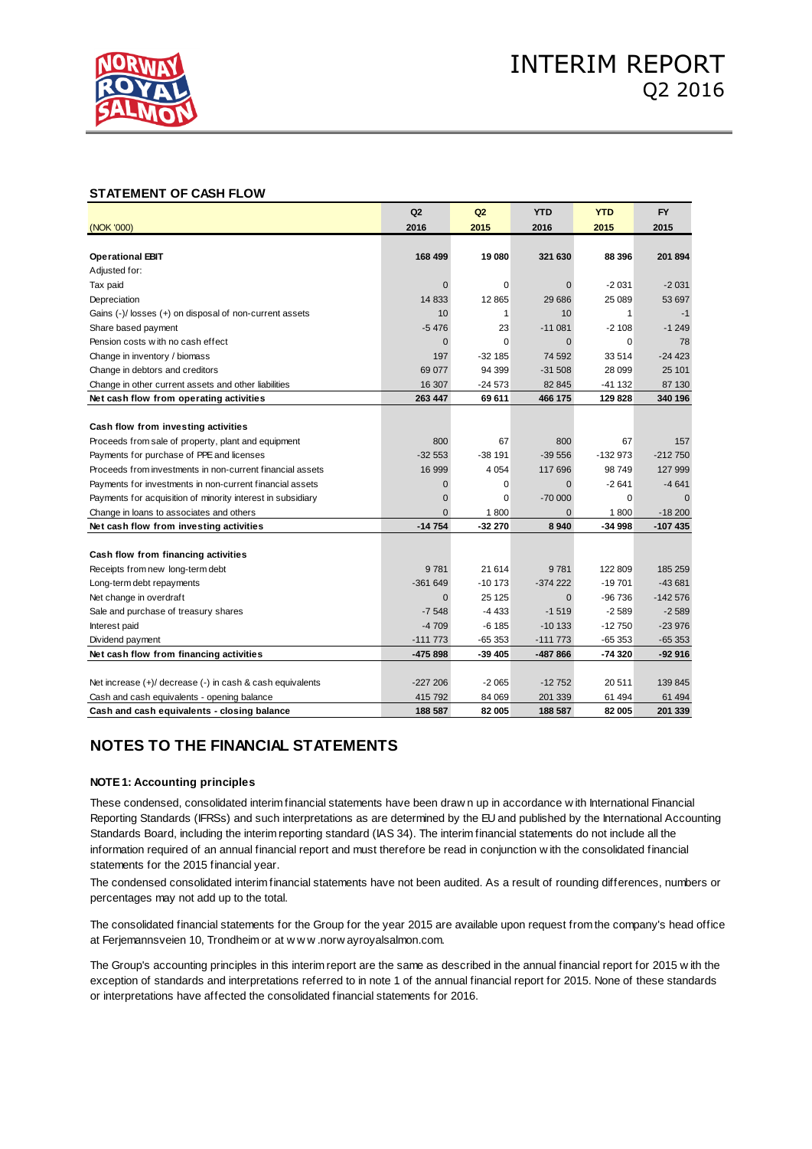

### **STATEMENT OF CASH FLOW**

|                                                             | Q2           | Q2           | <b>YTD</b>  | <b>YTD</b>  | <b>FY</b> |
|-------------------------------------------------------------|--------------|--------------|-------------|-------------|-----------|
| (NOK '000)                                                  | 2016         | 2015         | 2016        | 2015        | 2015      |
|                                                             |              |              |             |             |           |
| <b>Operational EBIT</b>                                     | 168 499      | 19 080       | 321 630     | 88 396      | 201 894   |
| Adjusted for:                                               |              |              |             |             |           |
| Tax paid                                                    | $\mathbf 0$  | $\Omega$     | $\Omega$    | $-2031$     | $-2031$   |
| Depreciation                                                | 14 833       | 12 8 65      | 29 686      | 25 089      | 53 697    |
| Gains (-)/ losses (+) on disposal of non-current assets     | 10           | $\mathbf{1}$ | 10          | 1           | $-1$      |
| Share based payment                                         | $-5476$      | 23           | $-11081$    | $-2108$     | $-1249$   |
| Pension costs with no cash effect                           | $\mathbf 0$  | $\mathbf 0$  | $\mathbf 0$ | $\mathbf 0$ | 78        |
| Change in inventory / biomass                               | 197          | $-32185$     | 74 592      | 33 514      | $-24423$  |
| Change in debtors and creditors                             | 69 077       | 94 399       | $-31508$    | 28 099      | 25 101    |
| Change in other current assets and other liabilities        | 16 307       | $-24573$     | 82 845      | -41 132     | 87 130    |
| Net cash flow from operating activities                     | 263 447      | 69 611       | 466 175     | 129 828     | 340 196   |
|                                                             |              |              |             |             |           |
| Cash flow from investing activities                         |              |              |             |             |           |
| Proceeds from sale of property, plant and equipment         | 800          | 67           | 800         | 67          | 157       |
| Payments for purchase of PPE and licenses                   | $-32553$     | $-38191$     | $-39556$    | $-132973$   | $-212750$ |
| Proceeds from investments in non-current financial assets   | 16 999       | 4 0 5 4      | 117 696     | 98749       | 127 999   |
| Payments for investments in non-current financial assets    | $\mathbf{0}$ | $\Omega$     | $\Omega$    | $-2641$     | $-4641$   |
| Payments for acquisition of minority interest in subsidiary | $\mathbf 0$  | 0            | $-70000$    | $\mathbf 0$ |           |
| Change in loans to associates and others                    | $\Omega$     | 1800         | $\Omega$    | 1800        | $-18200$  |
| Net cash flow from investing activities                     | $-14754$     | $-32270$     | 8940        | -34 998     | $-107435$ |
|                                                             |              |              |             |             |           |
| Cash flow from financing activities                         |              |              |             |             |           |
| Receipts from new long-term debt                            | 9781         | 21 614       | 9781        | 122 809     | 185 259   |
| Long-term debt repayments                                   | $-361649$    | $-10173$     | $-374222$   | $-19701$    | $-43681$  |
| Net change in overdraft                                     | $\Omega$     | 25 1 25      | $\Omega$    | $-96736$    | $-142576$ |
| Sale and purchase of treasury shares                        | $-7548$      | $-4433$      | $-1519$     | $-2589$     | $-2589$   |
| Interest paid                                               | $-4709$      | $-6185$      | $-10133$    | $-12750$    | $-23976$  |
| Dividend payment                                            | $-111773$    | $-65353$     | -111 773    | -65 353     | $-65353$  |
| Net cash flow from financing activities                     | $-475898$    | $-39405$     | -487 866    | -74 320     | $-92916$  |
|                                                             |              |              |             |             |           |
| Net increase (+)/ decrease (-) in cash & cash equivalents   | $-227206$    | $-2065$      | $-12752$    | 20 511      | 139 845   |
| Cash and cash equivalents - opening balance                 | 415 792      | 84 069       | 201 339     | 61 494      | 61 494    |
| Cash and cash equivalents - closing balance                 | 188 587      | 82 005       | 188 587     | 82 005      | 201 339   |

# **NOTES TO THE FINANCIAL STATEMENTS**

### **NOTE 1: Accounting principles**

THE THE TINANCIAL OTAT LIMENTO<br>These condensed, consolidated interim financial statements have been draw n up in accordance w ith International Financial<br>Reporting Standards (IERSs) and such interpretations as are determin Reporting Standards (IFRSs) and such interpretations as are determined by the EU and published by the International Accounting Standards Board, including the interim reporting standard (IAS 34). The interim financial statements do not include all the These condensed, consolidated interim financial statements have been drawn up in accordance with International Financial<br>Reporting Standards (IFRSs) and such interpretations as are determined by the EU and published by the statements for the 2015 financial year.

The condensed consolidated interim financial statements have not been audited. As a result of rounding differences, numbers or percentages may not add up to the total.

at Ferjemannsveien 10, Trondheim or at www.norwayroyalsalmon.com.<br>The Group's accounting principles in this interim report are the same as described in the annual financial report for 2015 w ith the The consolidated financial statements for the Group for the year 2015 are available upon request from the company's head office Free condensed consolidated interminimatical statements have not been a<br>percentages may not add up to the total.<br>The consolidated financial statements for the Group for the year 2015 and<br>at Ferjemannsveien 10, Trondheim or

exception of standards and interpretations referred to in note 1 of the annual financial report for 2015. None of these standards or interpretations have affected the consolidated financial statements for 2016.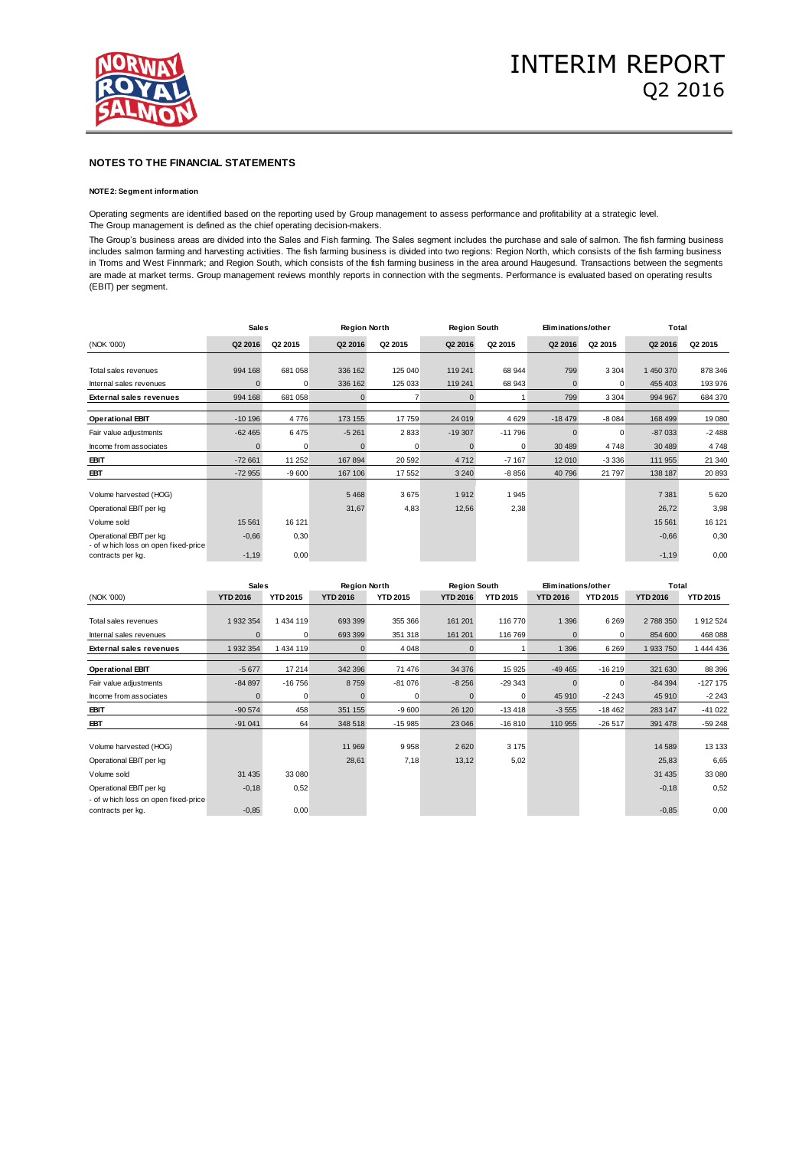

### **NOTE 2: Segment information**

Operating segments are identified based on the reporting used by Group management to assess performance and profitability at a strategic level. The Group management is defined as the chief operating decision-makers.

The Group's business areas are divided into the Sales and Fish farming. The Sales segment includes the purchase and sale of salmon. The fish farming business includes salmon farming and harvesting activities. The fish farming business is divided into two regions: Region North, which consists of the fish farming business in Troms and West Finnmark; and Region South, which consists of the fish farming business in the area around Haugesund. Transactions between the segments are made at market terms. Group management reviews monthly reports in connection with the segments. Performance is evaluated based on operating results (EBIT) per segment.

|                                                                 | <b>Sales</b> |         | <b>Region North</b> |          | <b>Region South</b> |          | Eliminations/other |             | Total     |         |
|-----------------------------------------------------------------|--------------|---------|---------------------|----------|---------------------|----------|--------------------|-------------|-----------|---------|
| (NOK '000)                                                      | Q2 2016      | Q2 2015 | Q2 2016             | Q2 2015  | Q2 2016             | Q2 2015  | Q2 2016            | Q2 2015     | Q2 2016   | Q2 2015 |
|                                                                 |              |         |                     |          |                     |          |                    |             |           |         |
| Total sales revenues                                            | 994 168      | 681 058 | 336 162             | 125 040  | 119 241             | 68 944   | 799                | 3 3 0 4     | 1 450 370 | 878 346 |
| Internal sales revenues                                         |              | 0       | 336 162             | 125 033  | 119 241             | 68 943   | $\Omega$           | 0           | 455 403   | 193 976 |
| <b>External sales revenues</b>                                  | 994 168      | 681 058 | $\Omega$            |          | $\Omega$            |          | 799                | 3 3 0 4     | 994 967   | 684 370 |
| <b>Operational EBIT</b>                                         | $-10196$     | 4776    | 173 155             | 17759    | 24 019              | 4629     | $-18479$           | $-8084$     | 168 499   | 19 080  |
| Fair value adjustments                                          | $-62465$     | 6475    | $-5261$             | 2833     | $-19307$            | $-11796$ |                    | $\mathbf 0$ | $-87033$  | $-2488$ |
| Income from associates                                          |              | 0       | $\Omega$            | $\Omega$ | $\Omega$            | $\Omega$ | 30 489             | 4748        | 30 489    | 4748    |
| EBIT                                                            | $-72661$     | 11 252  | 167894              | 20 592   | 4712                | $-7167$  | 12 010             | $-3336$     | 111 955   | 21 340  |
| EBT                                                             | $-72955$     | $-9600$ | 167 106             | 17 552   | 3 2 4 0             | $-8856$  | 40 796             | 21 797      | 138 187   | 20 893  |
| Volume harvested (HOG)                                          |              |         | 5 4 6 8             | 3675     | 1912                | 1945     |                    |             | 7 3 8 1   | 5 6 20  |
| Operational EBIT per kg                                         |              |         | 31,67               | 4,83     | 12,56               | 2,38     |                    |             | 26,72     | 3,98    |
| Volume sold                                                     | 15 5 61      | 16 121  |                     |          |                     |          |                    |             | 15 5 61   | 16 121  |
| Operational EBIT per kg<br>- of w hich loss on open fixed-price | $-0,66$      | 0,30    |                     |          |                     |          |                    |             | $-0,66$   | 0,30    |
| contracts per kg.                                               | $-1,19$      | 0,00    |                     |          |                     |          |                    |             | $-1,19$   | 0,00    |

|                                                           | <b>Sales</b>    |                 | <b>Region North</b> |                 | <b>Region South</b> |                 | Eliminations/other |                 | Total           |                 |
|-----------------------------------------------------------|-----------------|-----------------|---------------------|-----------------|---------------------|-----------------|--------------------|-----------------|-----------------|-----------------|
| (NOK '000)                                                | <b>YTD 2016</b> | <b>YTD 2015</b> | <b>YTD 2016</b>     | <b>YTD 2015</b> | <b>YTD 2016</b>     | <b>YTD 2015</b> | <b>YTD 2016</b>    | <b>YTD 2015</b> | <b>YTD 2016</b> | <b>YTD 2015</b> |
|                                                           |                 |                 |                     |                 |                     |                 |                    |                 |                 |                 |
| Total sales revenues                                      | 1 932 354       | 1 434 119       | 693 399             | 355 366         | 161 201             | 116 770         | 1 3 9 6            | 6 2 6 9         | 2 788 350       | 1912 524        |
| Internal sales revenues                                   |                 | 0               | 693 399             | 351 318         | 161 201             | 116 769         |                    | $\mathbf 0$     | 854 600         | 468 088         |
| <b>External sales revenues</b>                            | 1 932 354       | 1 434 119       |                     | 4 0 4 8         | $\Omega$            |                 | 1 3 9 6            | 6 2 6 9         | 1 933 750       | 1 444 436       |
| <b>Operational EBIT</b>                                   | $-5677$         | 17 214          | 342 396             | 71 476          | 34 376              | 15 925          | $-49465$           | $-16219$        | 321 630         | 88 396          |
| Fair value adjustments                                    | $-84897$        | $-16756$        | 8759                | $-81076$        | $-8256$             | $-29343$        | $\Omega$           | $\mathbf 0$     | $-84394$        | $-127$ 175      |
| Income from associates                                    |                 | $\Omega$        | <sup>n</sup>        | 0               | $\Omega$            | 0               | 45 910             | $-2243$         | 45 910          | $-2243$         |
| EBIT                                                      | $-90574$        | 458             | 351 155             | $-9600$         | 26 120              | $-13418$        | $-3555$            | $-18462$        | 283 147         | $-41022$        |
| EBT                                                       | $-91041$        | 64              | 348 518             | $-15985$        | 23 046              | $-16810$        | 110 955            | $-26517$        | 391 478         | -59 248         |
|                                                           |                 |                 |                     |                 |                     |                 |                    |                 |                 |                 |
| Volume harvested (HOG)                                    |                 |                 | 11 969              | 9958            | 2620                | 3 1 7 5         |                    |                 | 14 589          | 13 133          |
| Operational EBIT per kg                                   |                 |                 | 28,61               | 7,18            | 13,12               | 5,02            |                    |                 | 25,83           | 6,65            |
| Volume sold                                               | 31 4 35         | 33 080          |                     |                 |                     |                 |                    |                 | 31 4 35         | 33 080          |
| Operational EBIT per kg                                   | $-0,18$         | 0,52            |                     |                 |                     |                 |                    |                 | $-0,18$         | 0,52            |
| - of w hich loss on open fixed-price<br>contracts per kg. | $-0.85$         | 0,00            |                     |                 |                     |                 |                    |                 | $-0,85$         | 0,00            |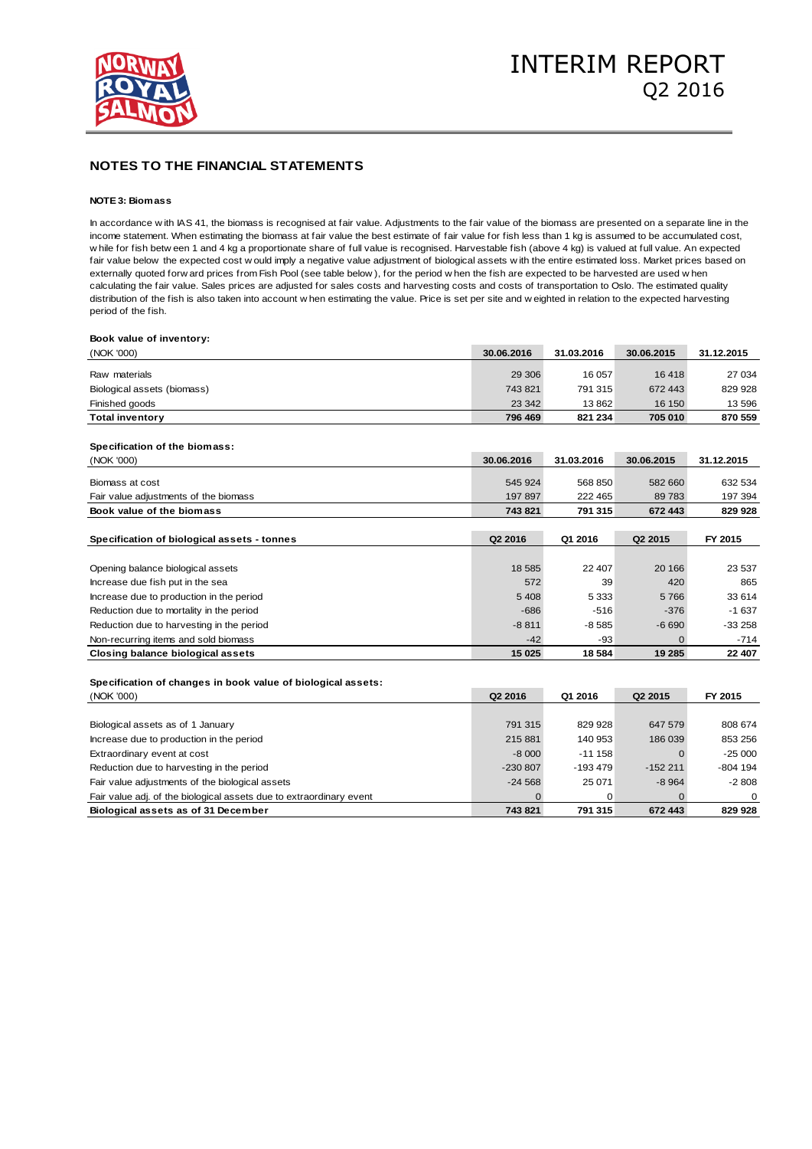

### **NOTE 3: Biomass**

In accordance w ith IAS 41, the biomass is recognised at fair value. Adjustments to the fair value of the biomass are presented on a separate line in the income statement. When estimating the biomass at fair value the best estimate of fair value for fish less than 1 kg is assumed to be accumulated cost, **NOTE 3: Biomass**<br>In accordance with IAS 41, the biomass is recognised at fair value. Adjustments to the fair value of the biomass are presented on a separate line in th<br>income statement. When estimating the biomass at fai Fract Costernation and the expected to the biomass is recognised at fair value. Adjustments to the fair value of the biomass are presented on a separate line in the income statement. When estimating the biomass at fair val In accordance w ith IAS 41, the biomass is recognised at fair value. Adjustments to the fair value of the biomass are presented on a separate lincome statement. When estimating the biomass at fair value the best estimate o calculating the fair value. Sales prices are adjusted for sales costs and harvesting costs and costs of transportation to Oslo. The estimated quality w hile for fish between 1 and 4 kg a proportionate share of full value is recognised. Harvestable fish (above 4 kg) is valued at full value. An expected cost w ould imply a negative value adjustment of biological assets w period of the fish.

| Book value of inventory:                                            |            |            |                     |            |
|---------------------------------------------------------------------|------------|------------|---------------------|------------|
| (NOK '000)                                                          | 30.06.2016 | 31.03.2016 | 30.06.2015          | 31.12.2015 |
| Raw materials                                                       | 29 30 6    | 16 057     | 16418               | 27 034     |
| Biological assets (biomass)                                         | 743 821    | 791 315    | 672 443             | 829 928    |
| Finished goods                                                      | 23 342     | 13862      | 16 150              | 13 596     |
| <b>Total inventory</b>                                              | 796 469    | 821 234    | 705 010             | 870 559    |
|                                                                     |            |            |                     |            |
| Specification of the biomass:                                       |            |            |                     |            |
| (NOK '000)                                                          | 30.06.2016 | 31.03.2016 | 30.06.2015          | 31.12.2015 |
| Biomass at cost                                                     | 545 924    | 568 850    | 582 660             | 632 534    |
| Fair value adjustments of the biomass                               | 197 897    | 222 465    | 89783               | 197 394    |
| Book value of the biomass                                           | 743 821    | 791 315    | 672 443             | 829 928    |
|                                                                     |            |            |                     |            |
| Specification of biological assets - tonnes                         | Q2 2016    | Q1 2016    | Q <sub>2</sub> 2015 | FY 2015    |
|                                                                     |            |            |                     |            |
| Opening balance biological assets                                   | 18 585     | 22 407     | 20 166              | 23 537     |
| Increase due fish put in the sea                                    | 572        | 39         | 420                 | 865        |
| Increase due to production in the period                            | 5 4 0 8    | 5 3 3 3    | 5766                | 33 614     |
| Reduction due to mortality in the period                            | $-686$     | $-516$     | $-376$              | -1 637     |
| Reduction due to harvesting in the period                           | $-8811$    | $-8585$    | $-6690$             | $-33258$   |
| Non-recurring items and sold biomass                                | -42        | $-93$      | 0                   | $-714$     |
| <b>Closing balance biological assets</b>                            | 15 0 25    | 18584      | 19 285              | 22 407     |
|                                                                     |            |            |                     |            |
| Specification of changes in book value of biological assets:        |            |            |                     |            |
| (NOK '000)                                                          | Q2 2016    | Q1 2016    | Q <sub>2</sub> 2015 | FY 2015    |
|                                                                     |            |            |                     |            |
| Biological assets as of 1 January                                   | 791 315    | 829 928    | 647 579             | 808 674    |
| Increase due to production in the period                            | 215 881    | 140 953    | 186 039             | 853 256    |
| Extraordinary event at cost                                         | $-8000$    | $-11158$   | $\Omega$            | $-25000$   |
| Reduction due to harvesting in the period                           | $-230807$  | $-193479$  | $-152211$           | $-804$ 194 |
| Fair value adjustments of the biological assets                     | $-24568$   | 25 071     | $-8964$             | $-2808$    |
| Fair value adj. of the biological assets due to extraordinary event | $\Omega$   | 0          | $\Omega$            | $\Omega$   |
| Biological assets as of 31 December                                 | 743 821    | 791 315    | 672 443             | 829 928    |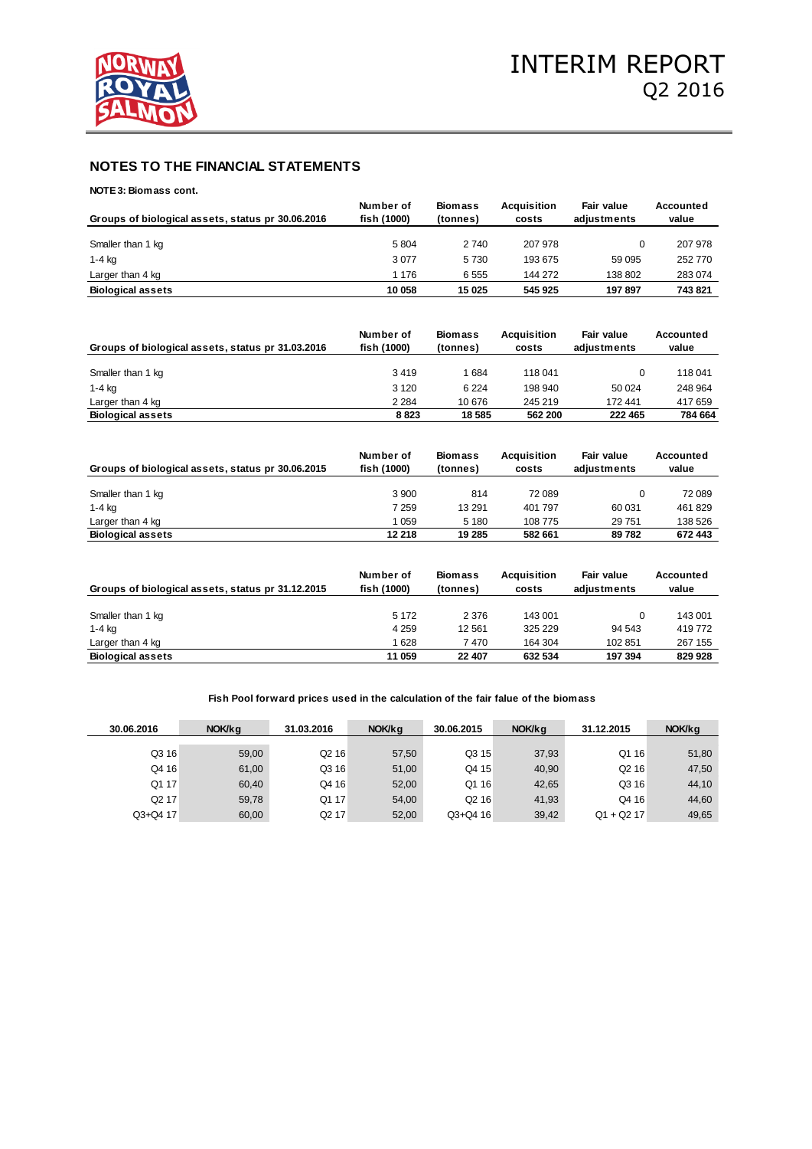

**NOTE 3: Biomass cont.**

|                                                   | Number of   | <b>Biomass</b> | Acquisition | <b>Fair value</b> | Accounted |
|---------------------------------------------------|-------------|----------------|-------------|-------------------|-----------|
| Groups of biological assets, status pr 30.06.2016 | fish (1000) | (tonnes)       | costs       | adiustments       | value     |
|                                                   |             |                |             |                   |           |
| Smaller than 1 kg                                 | 5804        | 2 740          | 207 978     |                   | 207 978   |
| $1-4$ kg                                          | 3077        | 5730           | 193 675     | 59 095            | 252 770   |
| Larger than 4 kg                                  | 1 176       | 6555           | 144 272     | 138 802           | 283 074   |
| <b>Biological assets</b>                          | 10 058      | 15 0 25        | 545 925     | 197897            | 743 821   |

| Groups of biological assets, status pr 31.03.2016 | Number of<br>fish (1000) | <b>Biomass</b><br>(tonnes) | <b>Acquisition</b><br>costs | Fair value<br>adiustments | Accounted<br>value |
|---------------------------------------------------|--------------------------|----------------------------|-----------------------------|---------------------------|--------------------|
| Smaller than 1 kg                                 | 3419                     | 1 684                      | 118 041                     |                           | 118 041            |
| $1-4$ kg                                          | 3 1 2 0                  | 6 2 2 4                    | 198 940                     | 50 024                    | 248 964            |
| Larger than 4 kg                                  | 2 2 8 4                  | 10676                      | 245 219                     | 172 441                   | 417 659            |
| <b>Biological assets</b>                          | 8823                     | 18 585                     | 562 200                     | 222 465                   | 784 664            |

| Groups of biological assets, status pr 30.06.2015 | Number of<br>fish (1000) | <b>Biomass</b><br>(tonnes) | <b>Acquisition</b><br>costs | Fair value<br>adiustments | Accounted<br>value |
|---------------------------------------------------|--------------------------|----------------------------|-----------------------------|---------------------------|--------------------|
|                                                   |                          |                            |                             |                           |                    |
| Smaller than 1 kg                                 | 3 900                    | 814                        | 72 089                      |                           | 72 089             |
| $1-4$ kg                                          | 7 259                    | 13 291                     | 401 797                     | 60 031                    | 461829             |
| Larger than 4 kg                                  | 059                      | 5 1 8 0                    | 108 775                     | 29 751                    | 138 526            |
| <b>Biological assets</b>                          | 12 218                   | 19 285                     | 582 661                     | 89782                     | 672 443            |

| Groups of biological assets, status pr 31.12.2015 | Number of<br>fish (1000) | <b>Biomass</b><br>(tonnes) | <b>Acquisition</b><br>costs | Fair value<br>adiustments | Accounted<br>value |
|---------------------------------------------------|--------------------------|----------------------------|-----------------------------|---------------------------|--------------------|
|                                                   |                          |                            |                             |                           |                    |
| Smaller than 1 kg                                 | 5 1 7 2                  | 2 3 7 6                    | 143 001                     | 0                         | 143 001            |
| 1-4 kg                                            | 4 2 5 9                  | 12 5 61                    | 325 229                     | 94 543                    | 419772             |
| Larger than 4 kg                                  | 628                      | 7470                       | 164 304                     | 102 851                   | 267 155            |
| <b>Biological assets</b>                          | 11 059                   | 22 407                     | 632 534                     | 197 394                   | 829 928            |

**Fish Pool forward prices used in the calculation of the fair falue of the biomass**

| 30.06.2016        | NOK/ka | 31.03.2016        | NOK/kg | 30.06.2015        | NOK/kg | 31.12.2015        | NOK/kg |
|-------------------|--------|-------------------|--------|-------------------|--------|-------------------|--------|
|                   |        |                   |        |                   |        |                   |        |
| Q3 16             | 59.00  | Q <sub>2</sub> 16 | 57,50  | Q3 15             | 37.93  | Q1 16             | 51,80  |
| Q4 16             | 61,00  | Q3 16             | 51,00  | Q4 15             | 40.90  | Q <sub>2</sub> 16 | 47,50  |
| Q1 17             | 60.40  | Q4 16             | 52.00  | Q1 16             | 42.65  | Q3 16             | 44,10  |
| Q <sub>2</sub> 17 | 59.78  | Q1 17             | 54.00  | Q <sub>2</sub> 16 | 41.93  | Q4 16             | 44,60  |
| Q3+Q4 17          | 60,00  | Q2 17             | 52,00  | Q3+Q4 16          | 39,42  | $Q1 + Q2 17$      | 49,65  |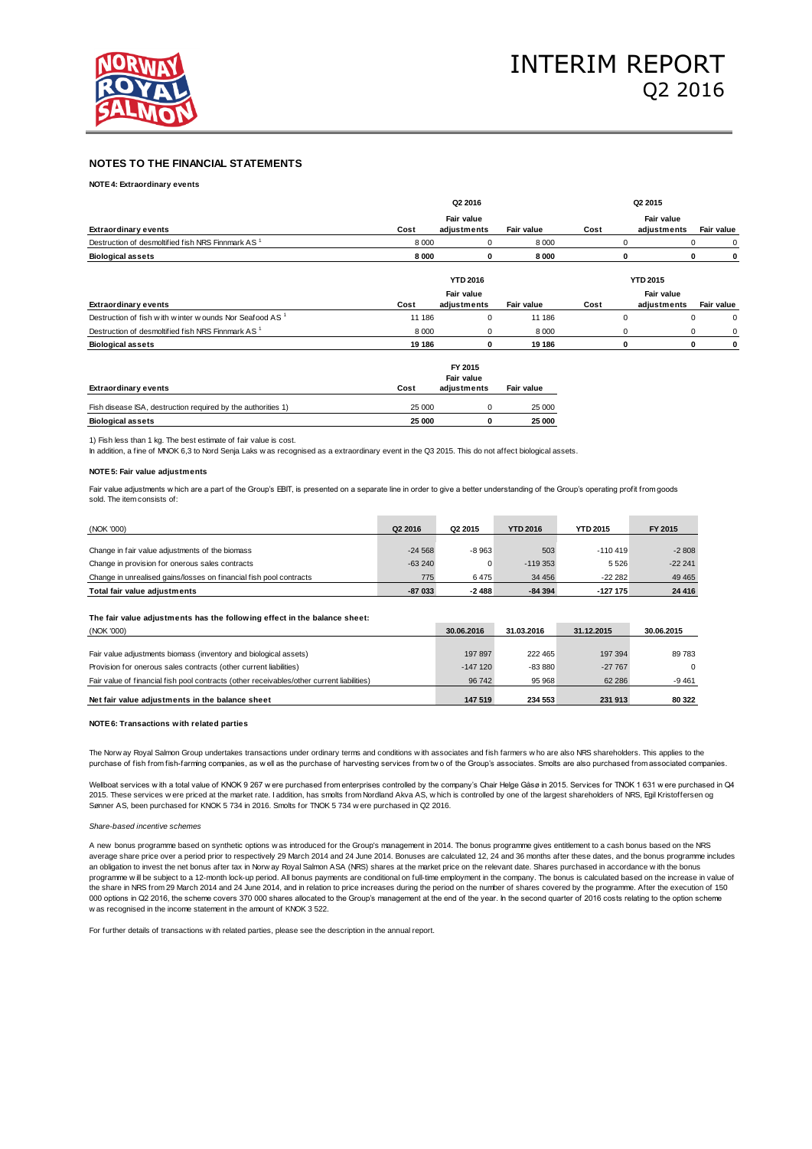

**NOTE 4: Extraordinary events**

|                                                                    | Q2 2016<br>Fair value |                 |            | Q <sub>2</sub> 2015 |                   |                  |  |
|--------------------------------------------------------------------|-----------------------|-----------------|------------|---------------------|-------------------|------------------|--|
|                                                                    |                       |                 |            |                     | Fair value        |                  |  |
| <b>Extraordinary events</b>                                        | Cost                  | adjustments     | Fair value | Cost                | adjustments       | Fair value       |  |
| Destruction of desmoltified fish NRS Finnmark AS <sup>1</sup>      | 8 0 0 0               |                 | 8 0 0 0    |                     | $\Omega$          | 0<br>0           |  |
| <b>Biological assets</b>                                           | 8000                  | 0               | 8000       |                     | 0                 | $\mathbf 0$<br>0 |  |
|                                                                    |                       | <b>YTD 2016</b> |            |                     | <b>YTD 2015</b>   |                  |  |
|                                                                    |                       | Fair value      |            |                     | <b>Fair value</b> |                  |  |
| <b>Extraordinary events</b>                                        | Cost                  | adjustments     | Fair value | Cost                | adjustments       | Fair value       |  |
| Destruction of fish with winter wounds Nor Seafood AS <sup>1</sup> | 11 186                | $\Omega$        | 11 186     |                     | $\mathbf 0$       | 0<br>$^{\circ}$  |  |
| Destruction of desmoltified fish NRS Finnmark AS <sup>1</sup>      | 8 0 0 0               | 0               | 8 0 0 0    |                     | 0                 | $\Omega$<br>0    |  |
| <b>Biological assets</b>                                           | 19 18 6               | 0               | 19 18 6    |                     | 0                 | 0<br>0           |  |

|                                                              | FY 2015 |             |            |  |  |  |
|--------------------------------------------------------------|---------|-------------|------------|--|--|--|
|                                                              |         | Fair value  |            |  |  |  |
| <b>Extraordinary events</b>                                  | Cost    | adiustments | Fair value |  |  |  |
| Fish disease ISA, destruction required by the authorities 1) | 25 000  |             | 25 000     |  |  |  |
|                                                              |         |             |            |  |  |  |
| <b>Biological assets</b>                                     | 25 000  |             | 25 000     |  |  |  |

1) Fish less than 1 kg. The best estimate of fair value is cost.

In addition, a fine of MNOK 6,3 to Nord Senja Laks w as recognised as a extraordinary event in the Q3 2015. This do not affect biological assets.

#### **NOTE 5: Fair value adjustments**

Fair value adjustments w hich are a part of the Group's EBIT, is presented on a separate line in order to give a better understanding of the Group's operating profit from goods sold. The item consists of:

| (NOK '000)                                                         | Q <sub>2</sub> 2016 | Q <sub>2</sub> 2015 | <b>YTD 2016</b> | <b>YTD 2015</b> | FY 2015   |
|--------------------------------------------------------------------|---------------------|---------------------|-----------------|-----------------|-----------|
|                                                                    |                     |                     |                 |                 |           |
| Change in fair value adjustments of the biomass                    | $-24568$            | $-8963$             | 503             | $-110419$       | $-2808$   |
| Change in provision for onerous sales contracts                    | $-63240$            |                     | $-119.353$      | 5526            | $-222241$ |
| Change in unrealised gains/losses on financial fish pool contracts | 775                 | 6475                | 34 45 6         | $-2222$         | 49 4 65   |
| Total fair value adiustments                                       | $-87033$            | $-2488$             | $-84394$        | $-127175$       | 24 4 16   |

**The fair value adjustments has the following effect in the balance sheet:**

| (NOK '000)                                                                                | 30.06.2016 | 31.03.2016 | 31.12.2015 | 30.06.2015 |
|-------------------------------------------------------------------------------------------|------------|------------|------------|------------|
|                                                                                           |            |            |            |            |
| Fair value adjustments biomass (inventory and biological assets)                          | 197 897    | 222 465    | 197 394    | 89 783     |
| Provision for onerous sales contracts (other current liabilities)                         | $-147120$  | $-83880$   | $-27767$   | $\Omega$   |
| Fair value of financial fish pool contracts (other receivables/other current liabilities) | 96742      | 95 968     | 62 286     | $-9461$    |
| Net fair value adjustments in the balance sheet                                           | 147 519    | 234 553    | 231 913    | 80 322     |

### **NOTE 6: Transactions with related parties**

NoTE 6: Transactions with related parties<br>NOTE 6: Transactions with related parties<br>The Norway Royal Salmon Group undertakes transactions under ordinary terms and conditions with associates and fish farmers who are also NR

The Norw ay Royal Salmon Group undertakes transactions under ordinary terms and conditions with associates and fish farmers who are also NRS shareholders. This applies to the purchase of fish from fish-farming companies, a 2015. These services were priced at the market rate. I addition, has smolts from Nordland Akva AS, which is controlled by one of the largest shareholders of NRS, Egil Kristoffersen og<br>Sanner AS, been purchased for KNOK 5 7

#### *Share-based incentive schemes*

programme w ill be subject to a 12-month lock-up period. All bonus payments are conditional on full-time<br>the share in NRS from 29 March 2014 and 24 June 2014, and in relation to price increases during the p<br>000 options in average share price over a period prior to respectively 29 March 2014 and 24 June 2014. Bonuses are calculated 12, 24 and 36 months after these dates, and the bonus programme includes Share-based incentive schemes<br>A new bonus programme based on synthetic options w as introduced for the Group's management in 2014. The bonus programme gives entitlement to a cash bonus based on the NRS<br>average share price the share in NRS from 29 March 2014 and 24 June 2014, and in relation to price increases during the period on the number of shares covered by the programme. After the execution of 150 000 options in Q2 2016, the scheme covers 370 000 shares allocated to the Group's management at the end of the year. In the second quarter of 2016 costs relating to the option scheme average share price over a period prior to respectively 29 March 2014 an obligation to invest the net bonus after tax in Norw ay Royal Salmon *h*<br>programme will be subject to a 12-month lock-up period. All bonus pay<br>the sh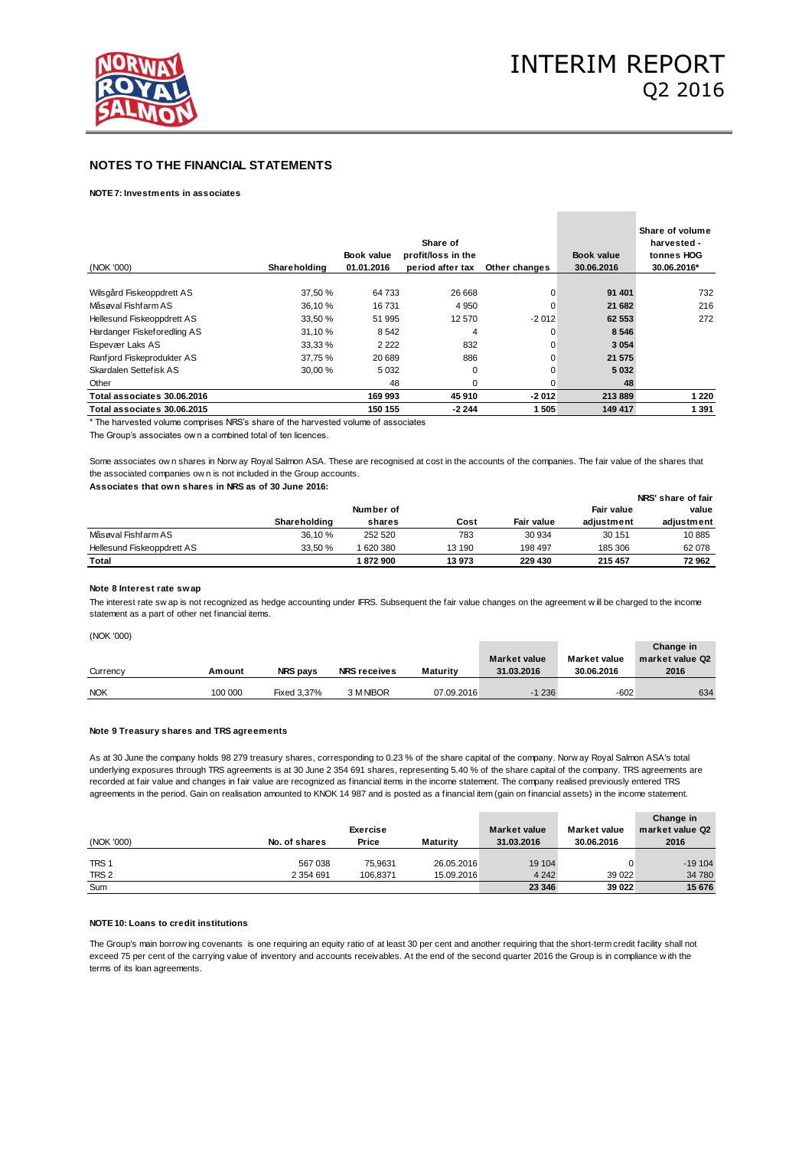

### **NOTE 7: Investments in associates**

| (NOK '000)                  | Shareholding | Book value<br>01.01.2016 | Share of<br>profit/loss in the<br>period after tax | Other changes | Book value<br>30.06.2016 | Share of volume<br>harvested -<br>tonnes HOG<br>30.06.2016* |
|-----------------------------|--------------|--------------------------|----------------------------------------------------|---------------|--------------------------|-------------------------------------------------------------|
| Wilsgård Fiskeoppdrett AS   | 37.50 %      | 64 733                   | 26 668                                             | 0             | 91 401                   | 732                                                         |
| Måsøval Fishfarm AS         | 36.10 %      | 16731                    | 4 9 5 0                                            | 0             | 21 682                   | 216                                                         |
| Hellesund Fiskeoppdrett AS  | 33.50 %      | 51 995                   | 12 570                                             | $-2012$       | 62 553                   | 272                                                         |
| Hardanger Fiskeforedling AS | 31.10 %      | 8 5 4 2                  | 4                                                  | 0             | 8546                     |                                                             |
| Espevær Laks AS             | 33,33 %      | 2 2 2 2                  | 832                                                | 0             | 3 0 5 4                  |                                                             |
| Ranfjord Fiskeprodukter AS  | 37.75 %      | 20 689                   | 886                                                | 0             | 21 575                   |                                                             |
| Skardalen Settefisk AS      | 30.00 %      | 5 0 3 2                  | 0                                                  | 0             | 5032                     |                                                             |
| Other                       |              | 48                       | $\Omega$                                           | O             | 48                       |                                                             |
| Total associates 30.06.2016 |              | 169 993                  | 45 910                                             | $-2012$       | 213889                   | 1 2 2 0                                                     |
| Total associates 30.06.2015 |              | 150 155                  | $-2244$                                            | 1505          | 149 417                  | 1 3 9 1                                                     |

\* The harvested volume comprises NRS's share of the harvested volume of associates

The Group's associates ow n a combined total of ten licences.

Some associates 30.06.2015<br>
Some associates own a combined total of ten licences.<br>
Some associates ow n shares in Norw ay Royal Salmon ASA. These are recognised at cost in the accounts of the companies. The fair value of t \* The harvested volume comprises NRS's share of the harvested volu<br>The Group's associates ow n a combined total of ten licences.<br>Some associates ow n shares in Norw ay Royal Salmon ASA. These a<br>the associated companies ow

### **Associates that own shares in NRS as of 30 June 2016:**

|                            | Number of    |         |        |                   |            |            |  | Fair value | value |
|----------------------------|--------------|---------|--------|-------------------|------------|------------|--|------------|-------|
|                            | Shareholding | shares  | Cost   | <b>Fair value</b> | adiustment | adiustment |  |            |       |
| Måsøval Fishfarm AS        | 36.10 %      | 252 520 | 783    | 30 934            | 30 151     | 10885      |  |            |       |
| Hellesund Fiskeoppdrett AS | 33.50 %      | 620 380 | 13 190 | 198 497           | 185 306    | 62 078     |  |            |       |
| Total                      |              | 1872900 | 13973  | 229 430           | 215 457    | 72 962     |  |            |       |

#### **Note 8 Interest rate swap**

The interest rate sw ap is not recognized as hedge accounting under IFRS. Subsequent the fair value changes on the agreement will be charged to the income statement as a part of other net financial items.

(NOK '000)

| Currency   | Amount  | <b>NRS pays</b> | <b>NRS receives</b> | Maturity   | <b>Market value</b><br>31.03.2016 | <b>Market value</b><br>30.06.2016 | Change in<br>market value Q2<br>2016 |
|------------|---------|-----------------|---------------------|------------|-----------------------------------|-----------------------------------|--------------------------------------|
| <b>NOK</b> | 100 000 | Fixed 3.37%     | 3 M NIBOR           | 07.09.2016 | $-1236$                           | $-602$                            | 634                                  |

### **Note 9 Treasury shares and TRS agreements**

As at 30 June the company holds 98 279 treasury shares, corresponding to 0.23 % of the share capital of the company. Norw ay Royal Salmon ASA's total underlying exposures through TRS agreements is at 30 June 2 354 691 shares, representing 5.40 % of the share capital of the company. TRS agreements are recorded at fair value and changes in fair value are recognized as financial items in the income statement. The company realised previously entered TRS agreements in the period. Gain on realisation amounted to KNOK 14 987 and is posted as a financial item (gain on financial assets) in the income statement.

|                  |               | Exercise |                 | <b>Market value</b> | <b>Market value</b> | Change in<br>market value Q2 |
|------------------|---------------|----------|-----------------|---------------------|---------------------|------------------------------|
| (NOK '000)       | No. of shares | Price    | <b>Maturity</b> | 31.03.2016          | 30.06.2016          | 2016                         |
| TRS <sub>1</sub> | 567 038       | 75.9631  | 26.05.2016      | 19 104              |                     | $-19104$                     |
| TRS <sub>2</sub> | 2 3 5 4 6 9 1 | 106.8371 | 15.09.2016      | 4 2 4 2             | 39 0 22             | 34 780                       |
| Sum              |               |          |                 | 23 346              | 39 0 22             | 15 676                       |

### **NOTE 10: Loans to credit institutions**

The Group's main borrow ing covenants is one requiring an equity ratio of at least 30 per cent and another requiring that the short-term credit facility shall not<br>The Group's main borrow ing covenants is one requiring an e NOTE 10: Loans to credit institutions<br>The Group's main borrowing covenants is one requiring an equity ratio of at least 30 per cent and another requiring that the short-term credit facility shall no<br>exceed 75 per cent of t terms of its loan agreements.